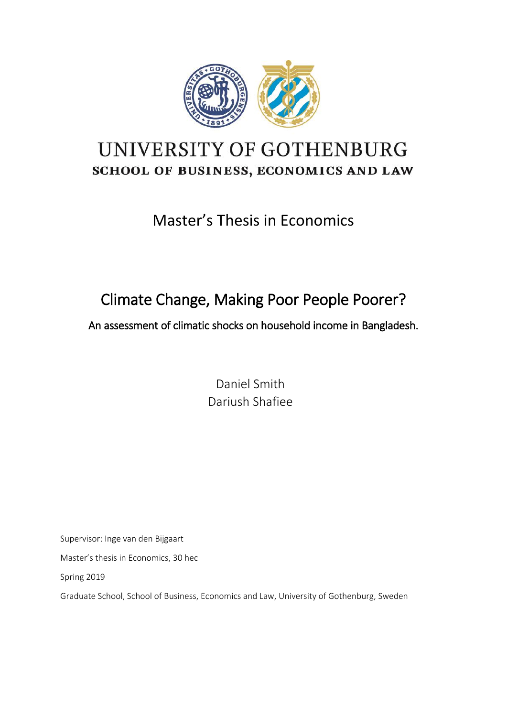

# UNIVERSITY OF GOTHENBURG SCHOOL OF BUSINESS, ECONOMICS AND LAW

# Master's Thesis in Economics

# Climate Change, Making Poor People Poorer?

An assessment of climatic shocks on household income in Bangladesh.

Daniel Smith Dariush Shafiee

Supervisor: Inge van den Bijgaart

Master's thesis in Economics, 30 hec

Spring 2019

Graduate School, School of Business, Economics and Law, University of Gothenburg, Sweden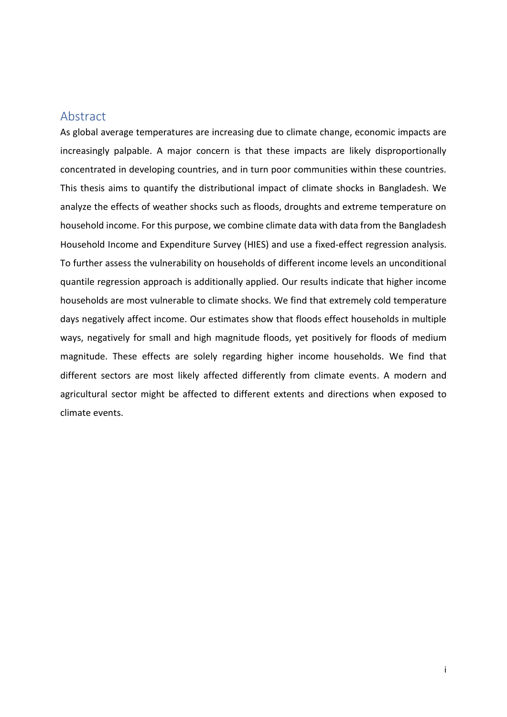## <span id="page-1-0"></span>Abstract

As global average temperatures are increasing due to climate change, economic impacts are increasingly palpable. A major concern is that these impacts are likely disproportionally concentrated in developing countries, and in turn poor communities within these countries. This thesis aims to quantify the distributional impact of climate shocks in Bangladesh. We analyze the effects of weather shocks such as floods, droughts and extreme temperature on household income. For this purpose, we combine climate data with data from the Bangladesh Household Income and Expenditure Survey (HIES) and use a fixed-effect regression analysis. To further assess the vulnerability on households of different income levels an unconditional quantile regression approach is additionally applied. Our results indicate that higher income households are most vulnerable to climate shocks. We find that extremely cold temperature days negatively affect income. Our estimates show that floods effect households in multiple ways, negatively for small and high magnitude floods, yet positively for floods of medium magnitude. These effects are solely regarding higher income households. We find that different sectors are most likely affected differently from climate events. A modern and agricultural sector might be affected to different extents and directions when exposed to climate events.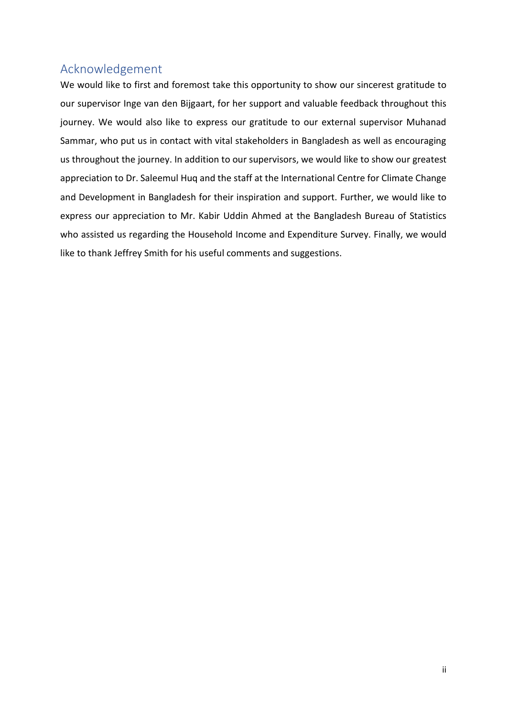## <span id="page-2-0"></span>Acknowledgement

We would like to first and foremost take this opportunity to show our sincerest gratitude to our supervisor Inge van den Bijgaart, for her support and valuable feedback throughout this journey. We would also like to express our gratitude to our external supervisor Muhanad Sammar, who put us in contact with vital stakeholders in Bangladesh as well as encouraging us throughout the journey. In addition to our supervisors, we would like to show our greatest appreciation to Dr. Saleemul Huq and the staff at the International Centre for Climate Change and Development in Bangladesh for their inspiration and support. Further, we would like to express our appreciation to Mr. Kabir Uddin Ahmed at the Bangladesh Bureau of Statistics who assisted us regarding the Household Income and Expenditure Survey. Finally, we would like to thank Jeffrey Smith for his useful comments and suggestions.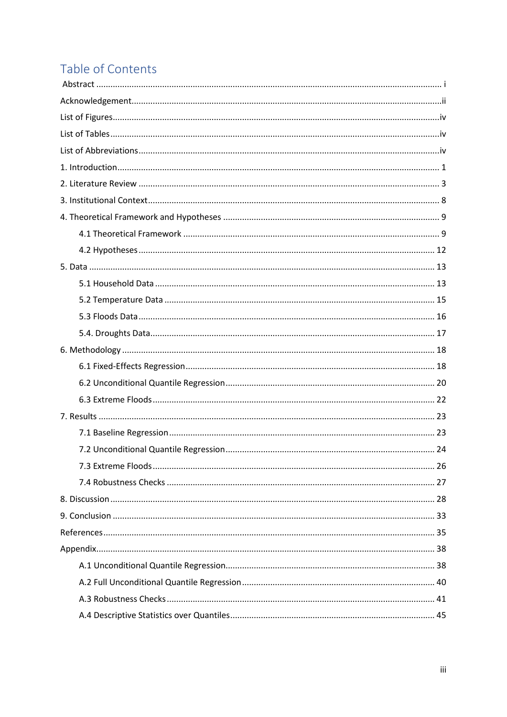## Table of Contents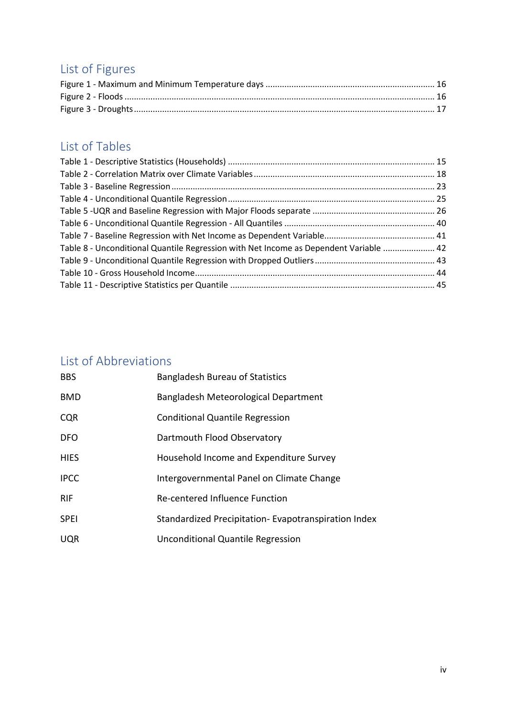# <span id="page-4-0"></span>List of Figures

## <span id="page-4-1"></span>List of Tables

| Table 8 - Unconditional Quantile Regression with Net Income as Dependent Variable  42 |  |
|---------------------------------------------------------------------------------------|--|
|                                                                                       |  |
|                                                                                       |  |
|                                                                                       |  |

## <span id="page-4-2"></span>List of Abbreviations

| <b>BBS</b>  | <b>Bangladesh Bureau of Statistics</b>              |
|-------------|-----------------------------------------------------|
| <b>BMD</b>  | Bangladesh Meteorological Department                |
| <b>CQR</b>  | <b>Conditional Quantile Regression</b>              |
| <b>DFO</b>  | Dartmouth Flood Observatory                         |
| <b>HIES</b> | Household Income and Expenditure Survey             |
| <b>IPCC</b> | Intergovernmental Panel on Climate Change           |
| <b>RIF</b>  | Re-centered Influence Function                      |
| <b>SPEI</b> | Standardized Precipitation-Evapotranspiration Index |
| <b>UQR</b>  | Unconditional Quantile Regression                   |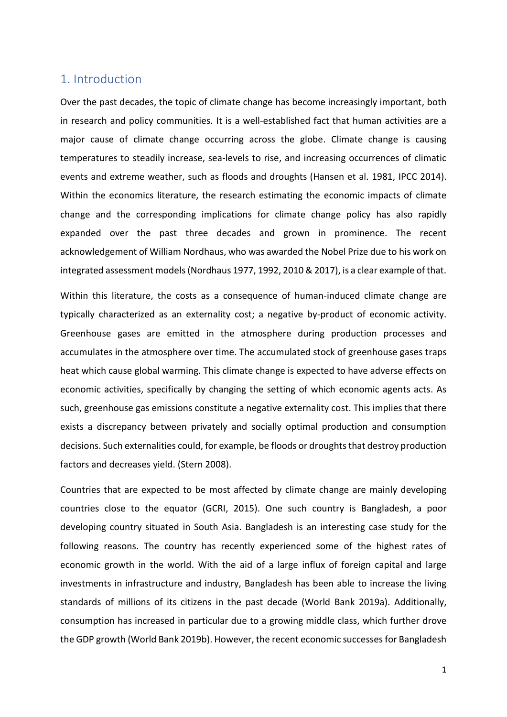## <span id="page-5-0"></span>1. Introduction

Over the past decades, the topic of climate change has become increasingly important, both in research and policy communities. It is a well-established fact that human activities are a major cause of climate change occurring across the globe. Climate change is causing temperatures to steadily increase, sea-levels to rise, and increasing occurrences of climatic events and extreme weather, such as floods and droughts (Hansen et al. 1981, IPCC 2014). Within the economics literature, the research estimating the economic impacts of climate change and the corresponding implications for climate change policy has also rapidly expanded over the past three decades and grown in prominence. The recent acknowledgement of William Nordhaus, who was awarded the Nobel Prize due to his work on integrated assessment models(Nordhaus 1977, 1992, 2010 & 2017), is a clear example of that.

Within this literature, the costs as a consequence of human-induced climate change are typically characterized as an externality cost; a negative by-product of economic activity. Greenhouse gases are emitted in the atmosphere during production processes and accumulates in the atmosphere over time. The accumulated stock of greenhouse gases traps heat which cause global warming. This climate change is expected to have adverse effects on economic activities, specifically by changing the setting of which economic agents acts. As such, greenhouse gas emissions constitute a negative externality cost. This implies that there exists a discrepancy between privately and socially optimal production and consumption decisions. Such externalities could, for example, be floods or droughts that destroy production factors and decreases yield. (Stern 2008).

Countries that are expected to be most affected by climate change are mainly developing countries close to the equator (GCRI, 2015). One such country is Bangladesh, a poor developing country situated in South Asia. Bangladesh is an interesting case study for the following reasons. The country has recently experienced some of the highest rates of economic growth in the world. With the aid of a large influx of foreign capital and large investments in infrastructure and industry, Bangladesh has been able to increase the living standards of millions of its citizens in the past decade (World Bank 2019a). Additionally, consumption has increased in particular due to a growing middle class, which further drove the GDP growth (World Bank 2019b). However, the recent economic successes for Bangladesh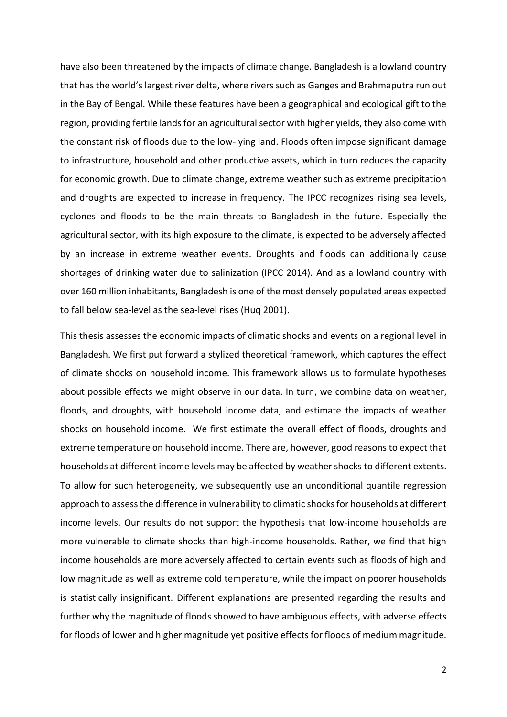have also been threatened by the impacts of climate change. Bangladesh is a lowland country that has the world's largest river delta, where rivers such as Ganges and Brahmaputra run out in the Bay of Bengal. While these features have been a geographical and ecological gift to the region, providing fertile lands for an agricultural sector with higher yields, they also come with the constant risk of floods due to the low-lying land. Floods often impose significant damage to infrastructure, household and other productive assets, which in turn reduces the capacity for economic growth. Due to climate change, extreme weather such as extreme precipitation and droughts are expected to increase in frequency. The IPCC recognizes rising sea levels, cyclones and floods to be the main threats to Bangladesh in the future. Especially the agricultural sector, with its high exposure to the climate, is expected to be adversely affected by an increase in extreme weather events. Droughts and floods can additionally cause shortages of drinking water due to salinization (IPCC 2014). And as a lowland country with over 160 million inhabitants, Bangladesh is one of the most densely populated areas expected to fall below sea-level as the sea-level rises (Huq 2001).

This thesis assesses the economic impacts of climatic shocks and events on a regional level in Bangladesh. We first put forward a stylized theoretical framework, which captures the effect of climate shocks on household income. This framework allows us to formulate hypotheses about possible effects we might observe in our data. In turn, we combine data on weather, floods, and droughts, with household income data, and estimate the impacts of weather shocks on household income. We first estimate the overall effect of floods, droughts and extreme temperature on household income. There are, however, good reasons to expect that households at different income levels may be affected by weather shocks to different extents. To allow for such heterogeneity, we subsequently use an unconditional quantile regression approach to assess the difference in vulnerability to climatic shocks for households at different income levels. Our results do not support the hypothesis that low-income households are more vulnerable to climate shocks than high-income households. Rather, we find that high income households are more adversely affected to certain events such as floods of high and low magnitude as well as extreme cold temperature, while the impact on poorer households is statistically insignificant. Different explanations are presented regarding the results and further why the magnitude of floods showed to have ambiguous effects, with adverse effects for floods of lower and higher magnitude yet positive effects for floods of medium magnitude.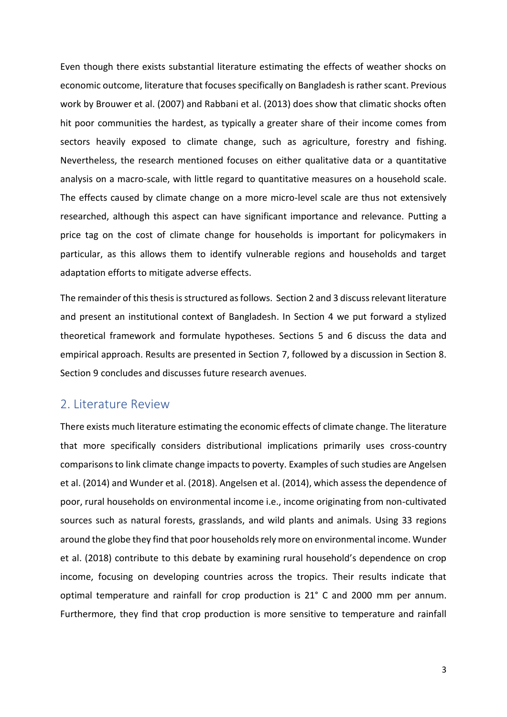Even though there exists substantial literature estimating the effects of weather shocks on economic outcome, literature that focuses specifically on Bangladesh is rather scant. Previous work by Brouwer et al. (2007) and Rabbani et al. (2013) does show that climatic shocks often hit poor communities the hardest, as typically a greater share of their income comes from sectors heavily exposed to climate change, such as agriculture, forestry and fishing. Nevertheless, the research mentioned focuses on either qualitative data or a quantitative analysis on a macro-scale, with little regard to quantitative measures on a household scale. The effects caused by climate change on a more micro-level scale are thus not extensively researched, although this aspect can have significant importance and relevance. Putting a price tag on the cost of climate change for households is important for policymakers in particular, as this allows them to identify vulnerable regions and households and target adaptation efforts to mitigate adverse effects.

The remainder of this thesisis structured as follows. Section 2 and 3 discuss relevant literature and present an institutional context of Bangladesh. In Section 4 we put forward a stylized theoretical framework and formulate hypotheses. Sections 5 and 6 discuss the data and empirical approach. Results are presented in Section 7, followed by a discussion in Section 8. Section 9 concludes and discusses future research avenues.

### <span id="page-7-0"></span>2. Literature Review

There exists much literature estimating the economic effects of climate change. The literature that more specifically considers distributional implications primarily uses cross-country comparisons to link climate change impacts to poverty. Examples of such studies are Angelsen et al. (2014) and Wunder et al. (2018). Angelsen et al. (2014), which assess the dependence of poor, rural households on environmental income i.e., income originating from non-cultivated sources such as natural forests, grasslands, and wild plants and animals. Using 33 regions around the globe they find that poor households rely more on environmental income. Wunder et al. (2018) contribute to this debate by examining rural household's dependence on crop income, focusing on developing countries across the tropics. Their results indicate that optimal temperature and rainfall for crop production is 21° C and 2000 mm per annum. Furthermore, they find that crop production is more sensitive to temperature and rainfall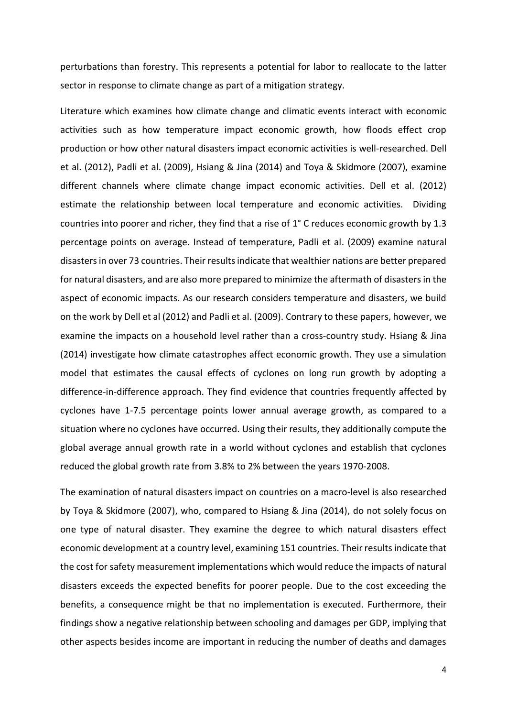perturbations than forestry. This represents a potential for labor to reallocate to the latter sector in response to climate change as part of a mitigation strategy.

Literature which examines how climate change and climatic events interact with economic activities such as how temperature impact economic growth, how floods effect crop production or how other natural disasters impact economic activities is well-researched. Dell et al. (2012), Padli et al. (2009), Hsiang & Jina (2014) and Toya & Skidmore (2007), examine different channels where climate change impact economic activities. Dell et al. (2012) estimate the relationship between local temperature and economic activities. Dividing countries into poorer and richer, they find that a rise of 1° C reduces economic growth by 1.3 percentage points on average. Instead of temperature, Padli et al. (2009) examine natural disasters in over 73 countries. Their results indicate that wealthier nations are better prepared for natural disasters, and are also more prepared to minimize the aftermath of disasters in the aspect of economic impacts. As our research considers temperature and disasters, we build on the work by Dell et al (2012) and Padli et al. (2009). Contrary to these papers, however, we examine the impacts on a household level rather than a cross-country study. Hsiang & Jina (2014) investigate how climate catastrophes affect economic growth. They use a simulation model that estimates the causal effects of cyclones on long run growth by adopting a difference-in-difference approach. They find evidence that countries frequently affected by cyclones have 1-7.5 percentage points lower annual average growth, as compared to a situation where no cyclones have occurred. Using their results, they additionally compute the global average annual growth rate in a world without cyclones and establish that cyclones reduced the global growth rate from 3.8% to 2% between the years 1970-2008.

The examination of natural disasters impact on countries on a macro-level is also researched by Toya & Skidmore (2007), who, compared to Hsiang & Jina (2014), do not solely focus on one type of natural disaster. They examine the degree to which natural disasters effect economic development at a country level, examining 151 countries. Their results indicate that the cost for safety measurement implementations which would reduce the impacts of natural disasters exceeds the expected benefits for poorer people. Due to the cost exceeding the benefits, a consequence might be that no implementation is executed. Furthermore, their findings show a negative relationship between schooling and damages per GDP, implying that other aspects besides income are important in reducing the number of deaths and damages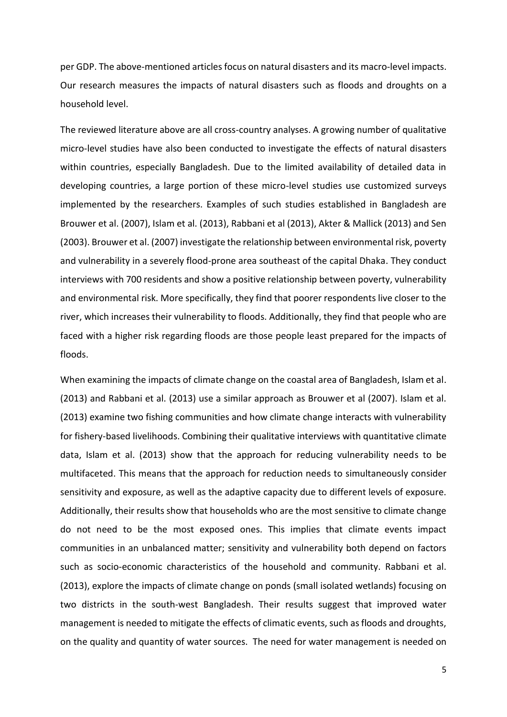per GDP. The above-mentioned articles focus on natural disasters and its macro-level impacts. Our research measures the impacts of natural disasters such as floods and droughts on a household level.

The reviewed literature above are all cross-country analyses. A growing number of qualitative micro-level studies have also been conducted to investigate the effects of natural disasters within countries, especially Bangladesh. Due to the limited availability of detailed data in developing countries, a large portion of these micro-level studies use customized surveys implemented by the researchers. Examples of such studies established in Bangladesh are Brouwer et al. (2007), Islam et al. (2013), Rabbani et al (2013), Akter & Mallick (2013) and Sen (2003). Brouwer et al. (2007) investigate the relationship between environmental risk, poverty and vulnerability in a severely flood-prone area southeast of the capital Dhaka. They conduct interviews with 700 residents and show a positive relationship between poverty, vulnerability and environmental risk. More specifically, they find that poorer respondents live closer to the river, which increases their vulnerability to floods. Additionally, they find that people who are faced with a higher risk regarding floods are those people least prepared for the impacts of floods.

When examining the impacts of climate change on the coastal area of Bangladesh, Islam et al. (2013) and Rabbani et al. (2013) use a similar approach as Brouwer et al (2007). Islam et al. (2013) examine two fishing communities and how climate change interacts with vulnerability for fishery-based livelihoods. Combining their qualitative interviews with quantitative climate data, Islam et al. (2013) show that the approach for reducing vulnerability needs to be multifaceted. This means that the approach for reduction needs to simultaneously consider sensitivity and exposure, as well as the adaptive capacity due to different levels of exposure. Additionally, their results show that households who are the most sensitive to climate change do not need to be the most exposed ones. This implies that climate events impact communities in an unbalanced matter; sensitivity and vulnerability both depend on factors such as socio-economic characteristics of the household and community. Rabbani et al. (2013), explore the impacts of climate change on ponds (small isolated wetlands) focusing on two districts in the south-west Bangladesh. Their results suggest that improved water management is needed to mitigate the effects of climatic events, such as floods and droughts, on the quality and quantity of water sources. The need for water management is needed on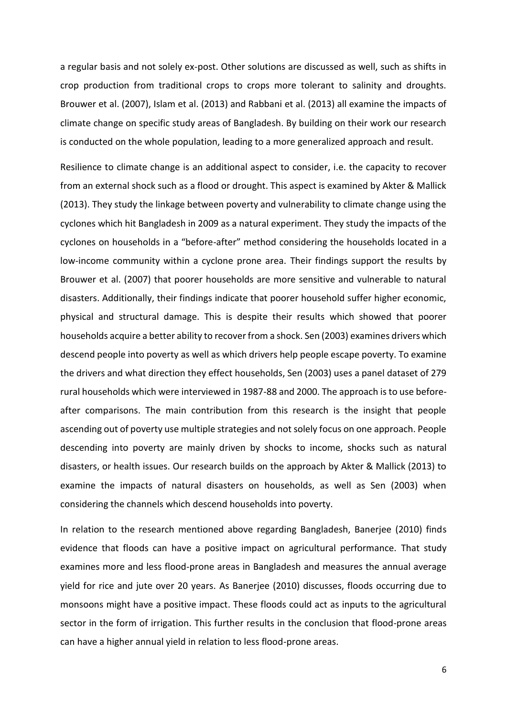a regular basis and not solely ex-post. Other solutions are discussed as well, such as shifts in crop production from traditional crops to crops more tolerant to salinity and droughts. Brouwer et al. (2007), Islam et al. (2013) and Rabbani et al. (2013) all examine the impacts of climate change on specific study areas of Bangladesh. By building on their work our research is conducted on the whole population, leading to a more generalized approach and result.

Resilience to climate change is an additional aspect to consider, i.e. the capacity to recover from an external shock such as a flood or drought. This aspect is examined by Akter & Mallick (2013). They study the linkage between poverty and vulnerability to climate change using the cyclones which hit Bangladesh in 2009 as a natural experiment. They study the impacts of the cyclones on households in a "before-after" method considering the households located in a low-income community within a cyclone prone area. Their findings support the results by Brouwer et al. (2007) that poorer households are more sensitive and vulnerable to natural disasters. Additionally, their findings indicate that poorer household suffer higher economic, physical and structural damage. This is despite their results which showed that poorer households acquire a better ability to recover from a shock. Sen (2003) examines drivers which descend people into poverty as well as which drivers help people escape poverty. To examine the drivers and what direction they effect households, Sen (2003) uses a panel dataset of 279 rural households which were interviewed in 1987-88 and 2000. The approach is to use beforeafter comparisons. The main contribution from this research is the insight that people ascending out of poverty use multiple strategies and not solely focus on one approach. People descending into poverty are mainly driven by shocks to income, shocks such as natural disasters, or health issues. Our research builds on the approach by Akter & Mallick (2013) to examine the impacts of natural disasters on households, as well as Sen (2003) when considering the channels which descend households into poverty.

In relation to the research mentioned above regarding Bangladesh, Banerjee (2010) finds evidence that floods can have a positive impact on agricultural performance. That study examines more and less flood-prone areas in Bangladesh and measures the annual average yield for rice and jute over 20 years. As Banerjee (2010) discusses, floods occurring due to monsoons might have a positive impact. These floods could act as inputs to the agricultural sector in the form of irrigation. This further results in the conclusion that flood-prone areas can have a higher annual yield in relation to less flood-prone areas.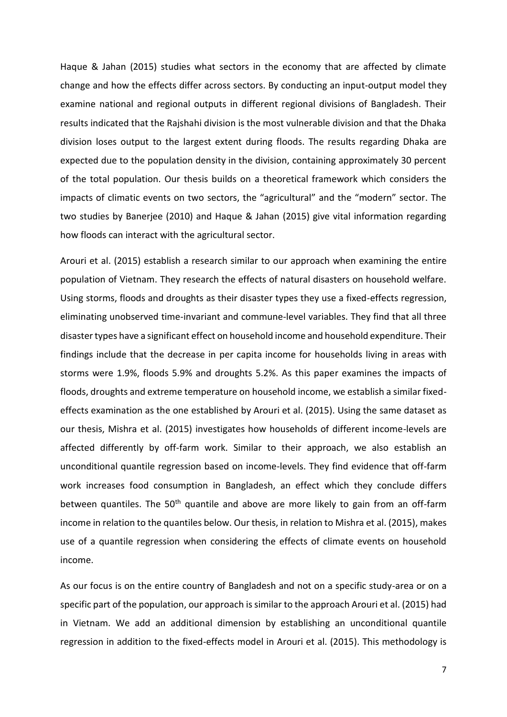Haque & Jahan (2015) studies what sectors in the economy that are affected by climate change and how the effects differ across sectors. By conducting an input-output model they examine national and regional outputs in different regional divisions of Bangladesh. Their results indicated that the Rajshahi division is the most vulnerable division and that the Dhaka division loses output to the largest extent during floods. The results regarding Dhaka are expected due to the population density in the division, containing approximately 30 percent of the total population. Our thesis builds on a theoretical framework which considers the impacts of climatic events on two sectors, the "agricultural" and the "modern" sector. The two studies by Banerjee (2010) and Haque & Jahan (2015) give vital information regarding how floods can interact with the agricultural sector.

Arouri et al. (2015) establish a research similar to our approach when examining the entire population of Vietnam. They research the effects of natural disasters on household welfare. Using storms, floods and droughts as their disaster types they use a fixed-effects regression, eliminating unobserved time-invariant and commune-level variables. They find that all three disaster types have a significant effect on household income and household expenditure. Their findings include that the decrease in per capita income for households living in areas with storms were 1.9%, floods 5.9% and droughts 5.2%. As this paper examines the impacts of floods, droughts and extreme temperature on household income, we establish a similar fixedeffects examination as the one established by Arouri et al. (2015). Using the same dataset as our thesis, Mishra et al. (2015) investigates how households of different income-levels are affected differently by off-farm work. Similar to their approach, we also establish an unconditional quantile regression based on income-levels. They find evidence that off-farm work increases food consumption in Bangladesh, an effect which they conclude differs between quantiles. The 50<sup>th</sup> quantile and above are more likely to gain from an off-farm income in relation to the quantiles below. Our thesis, in relation to Mishra et al. (2015), makes use of a quantile regression when considering the effects of climate events on household income.

As our focus is on the entire country of Bangladesh and not on a specific study-area or on a specific part of the population, our approach issimilar to the approach Arouri et al. (2015) had in Vietnam. We add an additional dimension by establishing an unconditional quantile regression in addition to the fixed-effects model in Arouri et al. (2015). This methodology is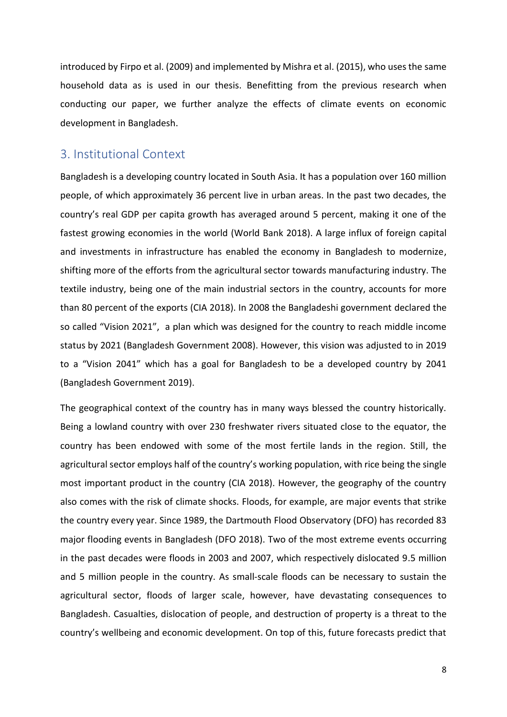introduced by Firpo et al. (2009) and implemented by Mishra et al. (2015), who uses the same household data as is used in our thesis. Benefitting from the previous research when conducting our paper, we further analyze the effects of climate events on economic development in Bangladesh.

## <span id="page-12-0"></span>3. Institutional Context

Bangladesh is a developing country located in South Asia. It has a population over 160 million people, of which approximately 36 percent live in urban areas. In the past two decades, the country's real GDP per capita growth has averaged around 5 percent, making it one of the fastest growing economies in the world (World Bank 2018). A large influx of foreign capital and investments in infrastructure has enabled the economy in Bangladesh to modernize, shifting more of the efforts from the agricultural sector towards manufacturing industry. The textile industry, being one of the main industrial sectors in the country, accounts for more than 80 percent of the exports (CIA 2018). In 2008 the Bangladeshi government declared the so called "Vision 2021", a plan which was designed for the country to reach middle income status by 2021 (Bangladesh Government 2008). However, this vision was adjusted to in 2019 to a "Vision 2041" which has a goal for Bangladesh to be a developed country by 2041 (Bangladesh Government 2019).

The geographical context of the country has in many ways blessed the country historically. Being a lowland country with over 230 freshwater rivers situated close to the equator, the country has been endowed with some of the most fertile lands in the region. Still, the agricultural sector employs half of the country's working population, with rice being the single most important product in the country (CIA 2018). However, the geography of the country also comes with the risk of climate shocks. Floods, for example, are major events that strike the country every year. Since 1989, the Dartmouth Flood Observatory (DFO) has recorded 83 major flooding events in Bangladesh (DFO 2018). Two of the most extreme events occurring in the past decades were floods in 2003 and 2007, which respectively dislocated 9.5 million and 5 million people in the country. As small-scale floods can be necessary to sustain the agricultural sector, floods of larger scale, however, have devastating consequences to Bangladesh. Casualties, dislocation of people, and destruction of property is a threat to the country's wellbeing and economic development. On top of this, future forecasts predict that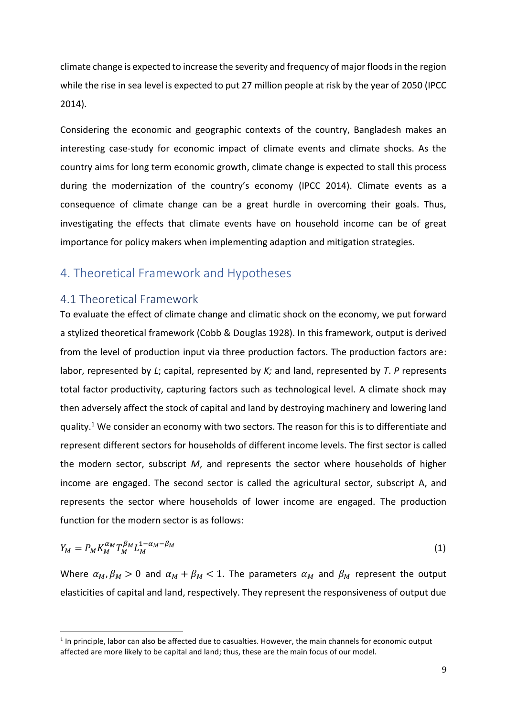climate change is expected to increase the severity and frequency of major floods in the region while the rise in sea level is expected to put 27 million people at risk by the year of 2050 (IPCC 2014).

Considering the economic and geographic contexts of the country, Bangladesh makes an interesting case-study for economic impact of climate events and climate shocks. As the country aims for long term economic growth, climate change is expected to stall this process during the modernization of the country's economy (IPCC 2014). Climate events as a consequence of climate change can be a great hurdle in overcoming their goals. Thus, investigating the effects that climate events have on household income can be of great importance for policy makers when implementing adaption and mitigation strategies.

## <span id="page-13-0"></span>4. Theoretical Framework and Hypotheses

### <span id="page-13-1"></span>4.1 Theoretical Framework

**.** 

To evaluate the effect of climate change and climatic shock on the economy, we put forward a stylized theoretical framework (Cobb & Douglas 1928). In this framework, output is derived from the level of production input via three production factors. The production factors are: labor, represented by *L*; capital, represented by *K;* and land, represented by *T*. *P* represents total factor productivity, capturing factors such as technological level. A climate shock may then adversely affect the stock of capital and land by destroying machinery and lowering land quality.<sup>1</sup> We consider an economy with two sectors. The reason for this is to differentiate and represent different sectors for households of different income levels. The first sector is called the modern sector, subscript *M*, and represents the sector where households of higher income are engaged. The second sector is called the agricultural sector, subscript A, and represents the sector where households of lower income are engaged. The production function for the modern sector is as follows:

$$
Y_M = P_M K_M^{\alpha_M} T_M^{\beta_M} L_M^{1-\alpha_M-\beta_M}
$$
 (1)

Where  $\alpha_M$ ,  $\beta_M > 0$  and  $\alpha_M + \beta_M < 1$ . The parameters  $\alpha_M$  and  $\beta_M$  represent the output elasticities of capital and land, respectively. They represent the responsiveness of output due

 $<sup>1</sup>$  In principle, labor can also be affected due to casualties. However, the main channels for economic output</sup> affected are more likely to be capital and land; thus, these are the main focus of our model.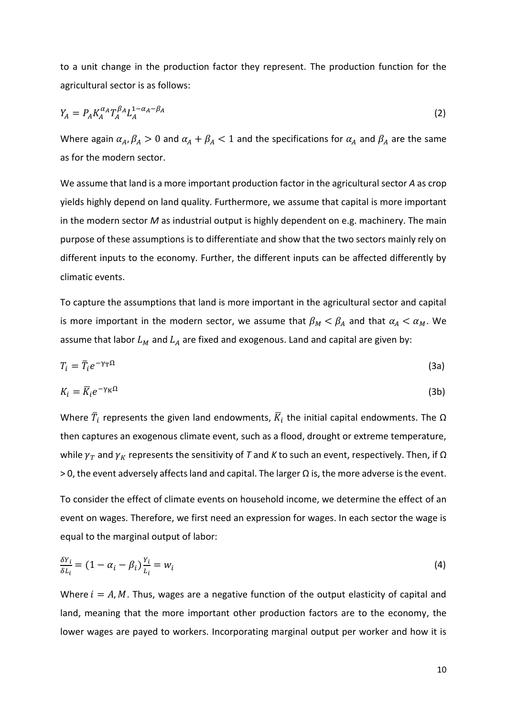to a unit change in the production factor they represent. The production function for the agricultural sector is as follows:

$$
Y_A = P_A K_A^{\alpha_A} T_A^{\beta_A} L_A^{1-\alpha_A-\beta_A}
$$
 (2)

Where again  $\alpha_A$ ,  $\beta_A > 0$  and  $\alpha_A + \beta_A < 1$  and the specifications for  $\alpha_A$  and  $\beta_A$  are the same as for the modern sector.

We assume that land is a more important production factor in the agricultural sector *A* as crop yields highly depend on land quality. Furthermore, we assume that capital is more important in the modern sector *M* as industrial output is highly dependent on e.g. machinery. The main purpose of these assumptions is to differentiate and show that the two sectors mainly rely on different inputs to the economy. Further, the different inputs can be affected differently by climatic events.

To capture the assumptions that land is more important in the agricultural sector and capital is more important in the modern sector, we assume that  $\beta_M < \beta_A$  and that  $\alpha_A < \alpha_M$ . We assume that labor  $L_M$  and  $L_A$  are fixed and exogenous. Land and capital are given by:

$$
T_i = \overline{T}_i e^{-\gamma \tau \Omega} \tag{3a}
$$

$$
K_i = \overline{K}_i e^{-\gamma_K \Omega} \tag{3b}
$$

Where  $\bar{T}_i$  represents the given land endowments,  $\bar{K}_i$  the initial capital endowments. The  $\Omega$ then captures an exogenous climate event, such as a flood, drought or extreme temperature, while  $γ_T$  and  $γ_K$  represents the sensitivity of *T* and *K* to such an event, respectively. Then, if  $Ω$  $>$  0, the event adversely affects land and capital. The larger Ω is, the more adverse is the event.

To consider the effect of climate events on household income, we determine the effect of an event on wages. Therefore, we first need an expression for wages. In each sector the wage is equal to the marginal output of labor:

$$
\frac{\delta Y_i}{\delta L_i} = (1 - \alpha_i - \beta_i) \frac{Y_i}{L_i} = w_i \tag{4}
$$

Where  $i = A, M$ . Thus, wages are a negative function of the output elasticity of capital and land, meaning that the more important other production factors are to the economy, the lower wages are payed to workers. Incorporating marginal output per worker and how it is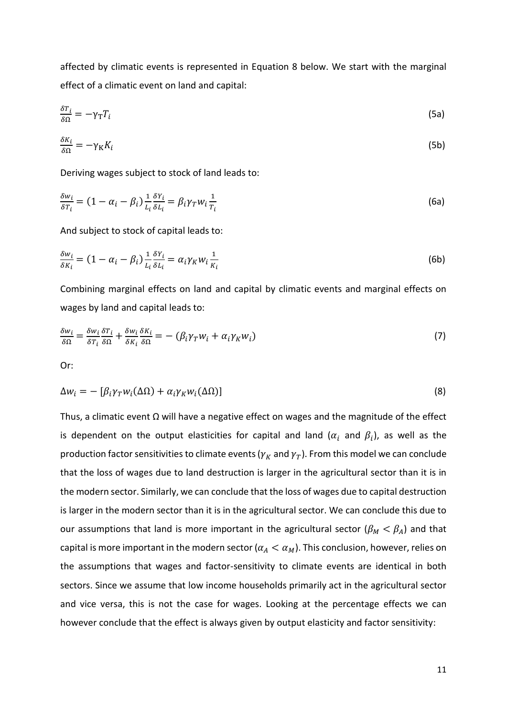affected by climatic events is represented in Equation 8 below. We start with the marginal effect of a climatic event on land and capital:

$$
\frac{\delta T_i}{\delta \Omega} = -\gamma_{\rm T} T_i \tag{5a}
$$

$$
\frac{\delta K_i}{\delta \Omega} = -\gamma_K K_i \tag{5b}
$$

Deriving wages subject to stock of land leads to:

$$
\frac{\delta w_i}{\delta r_i} = (1 - \alpha_i - \beta_i) \frac{1}{L_i} \frac{\delta Y_i}{\delta L_i} = \beta_i \gamma_T w_i \frac{1}{T_i}
$$
\n(6a)

And subject to stock of capital leads to:

$$
\frac{\delta w_i}{\delta K_i} = (1 - \alpha_i - \beta_i) \frac{1}{L_i} \frac{\delta Y_i}{\delta L_i} = \alpha_i \gamma_K w_i \frac{1}{K_i}
$$
\n(6b)

Combining marginal effects on land and capital by climatic events and marginal effects on wages by land and capital leads to:

$$
\frac{\delta w_i}{\delta \Omega} = \frac{\delta w_i}{\delta T_i} \frac{\delta T_i}{\delta \Omega} + \frac{\delta w_i}{\delta K_i} \frac{\delta K_i}{\delta \Omega} = -(\beta_i \gamma_T w_i + \alpha_i \gamma_K w_i)
$$
(7)

Or:

$$
\Delta w_i = -\left[\beta_i \gamma_T w_i(\Delta \Omega) + \alpha_i \gamma_K w_i(\Delta \Omega)\right]
$$
\n(8)

Thus, a climatic event  $\Omega$  will have a negative effect on wages and the magnitude of the effect is dependent on the output elasticities for capital and land ( $\alpha_i$  and  $\beta_i$ ), as well as the production factor sensitivities to climate events ( $\gamma_K$  and  $\gamma_T$ ). From this model we can conclude that the loss of wages due to land destruction is larger in the agricultural sector than it is in the modern sector. Similarly, we can conclude that the loss of wages due to capital destruction is larger in the modern sector than it is in the agricultural sector. We can conclude this due to our assumptions that land is more important in the agricultural sector ( $\beta_M < \beta_A$ ) and that capital is more important in the modern sector ( $\alpha_A < \alpha_M$ ). This conclusion, however, relies on the assumptions that wages and factor-sensitivity to climate events are identical in both sectors. Since we assume that low income households primarily act in the agricultural sector and vice versa, this is not the case for wages. Looking at the percentage effects we can however conclude that the effect is always given by output elasticity and factor sensitivity: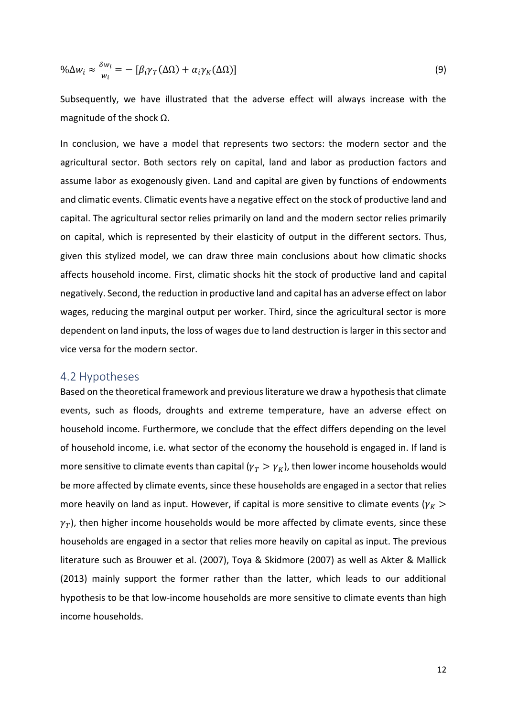$$
\% \Delta w_i \approx \frac{\delta w_i}{w_i} = -\left[\beta_i \gamma_T(\Delta \Omega) + \alpha_i \gamma_K(\Delta \Omega)\right]
$$
\n(9)

Subsequently, we have illustrated that the adverse effect will always increase with the magnitude of the shock Ω.

In conclusion, we have a model that represents two sectors: the modern sector and the agricultural sector. Both sectors rely on capital, land and labor as production factors and assume labor as exogenously given. Land and capital are given by functions of endowments and climatic events. Climatic events have a negative effect on the stock of productive land and capital. The agricultural sector relies primarily on land and the modern sector relies primarily on capital, which is represented by their elasticity of output in the different sectors. Thus, given this stylized model, we can draw three main conclusions about how climatic shocks affects household income. First, climatic shocks hit the stock of productive land and capital negatively. Second, the reduction in productive land and capital has an adverse effect on labor wages, reducing the marginal output per worker. Third, since the agricultural sector is more dependent on land inputs, the loss of wages due to land destruction is larger in this sector and vice versa for the modern sector.

#### <span id="page-16-0"></span>4.2 Hypotheses

Based on the theoretical framework and previous literature we draw a hypothesis that climate events, such as floods, droughts and extreme temperature, have an adverse effect on household income. Furthermore, we conclude that the effect differs depending on the level of household income, i.e. what sector of the economy the household is engaged in. If land is more sensitive to climate events than capital ( $\gamma_T > \gamma_K$ ), then lower income households would be more affected by climate events, since these households are engaged in a sector that relies more heavily on land as input. However, if capital is more sensitive to climate events ( $\gamma_K$  >  $\gamma_T$ ), then higher income households would be more affected by climate events, since these households are engaged in a sector that relies more heavily on capital as input. The previous literature such as Brouwer et al. (2007), Toya & Skidmore (2007) as well as Akter & Mallick (2013) mainly support the former rather than the latter, which leads to our additional hypothesis to be that low-income households are more sensitive to climate events than high income households.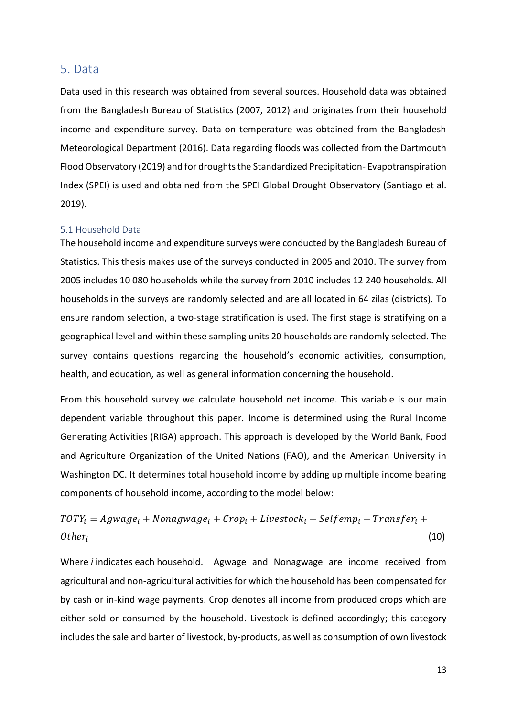### <span id="page-17-0"></span>5. Data

Data used in this research was obtained from several sources. Household data was obtained from the Bangladesh Bureau of Statistics (2007, 2012) and originates from their household income and expenditure survey. Data on temperature was obtained from the Bangladesh Meteorological Department (2016). Data regarding floods was collected from the Dartmouth Flood Observatory (2019) and for droughts the Standardized Precipitation- Evapotranspiration Index (SPEI) is used and obtained from the SPEI Global Drought Observatory (Santiago et al. 2019).

#### <span id="page-17-1"></span>5.1 Household Data

The household income and expenditure surveys were conducted by the Bangladesh Bureau of Statistics. This thesis makes use of the surveys conducted in 2005 and 2010. The survey from 2005 includes 10 080 households while the survey from 2010 includes 12 240 households. All households in the surveys are randomly selected and are all located in 64 zilas (districts). To ensure random selection, a two-stage stratification is used. The first stage is stratifying on a geographical level and within these sampling units 20 households are randomly selected. The survey contains questions regarding the household's economic activities, consumption, health, and education, as well as general information concerning the household.

From this household survey we calculate household net income. This variable is our main dependent variable throughout this paper. Income is determined using the Rural Income Generating Activities (RIGA) approach. This approach is developed by the World Bank, Food and Agriculture Organization of the United Nations (FAO), and the American University in Washington DC. It determines total household income by adding up multiple income bearing components of household income, according to the model below:

 $TOTY_i = Agwage_i + Nonagwage_i + Crop_i + Lives tock_i + Selfemp_i + Transfer_i +$  $Other_i$ (10)

Where *i* indicates each household. Agwage and Nonagwage are income received from agricultural and non-agricultural activities for which the household has been compensated for by cash or in-kind wage payments. Crop denotes all income from produced crops which are either sold or consumed by the household. Livestock is defined accordingly; this category includes the sale and barter of livestock, by-products, as well as consumption of own livestock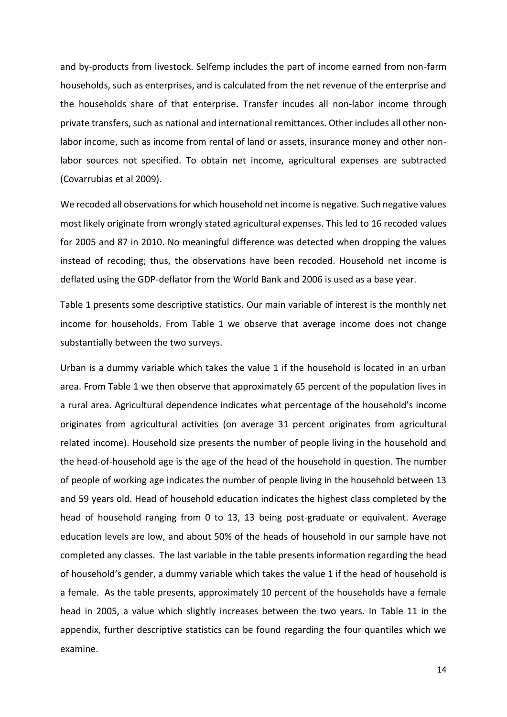and by-products from livestock. Selfemp includes the part of income earned from non-farm households, such as enterprises, and is calculated from the net revenue of the enterprise and the households share of that enterprise. Transfer incudes all non-labor income through private transfers, such as national and international remittances. Other includes all other nonlabor income, such as income from rental of land or assets, insurance money and other nonlabor sources not specified. To obtain net income, agricultural expenses are subtracted (Covarrubias et al 2009).

We recoded all observations for which household net income is negative. Such negative values most likely originate from wrongly stated agricultural expenses. This led to 16 recoded values for 2005 and 87 in 2010. No meaningful difference was detected when dropping the values instead of recoding; thus, the observations have been recoded. Household net income is deflated using the GDP-deflator from the World Bank and 2006 is used as a base year.

Table 1 presents some descriptive statistics. Our main variable of interest is the monthly net income for households. From Table 1 we observe that average income does not change substantially between the two surveys.

Urban is a dummy variable which takes the value 1 if the household is located in an urban area. From Table 1 we then observe that approximately 65 percent of the population lives in a rural area. Agricultural dependence indicates what percentage of the household's income originates from agricultural activities (on average 31 percent originates from agricultural related income). Household size presents the number of people living in the household and the head-of-household age is the age of the head of the household in question. The number of people of working age indicates the number of people living in the household between 13 and 59 years old. Head of household education indicates the highest class completed by the head of household ranging from 0 to 13, 13 being post-graduate or equivalent. Average education levels are low, and about 50% of the heads of household in our sample have not completed any classes. The last variable in the table presents information regarding the head of household's gender, a dummy variable which takes the value 1 if the head of household is a female. As the table presents, approximately 10 percent of the households have a female head in 2005, a value which slightly increases between the two years. In Table 11 in the appendix, further descriptive statistics can be found regarding the four quantiles which we examine.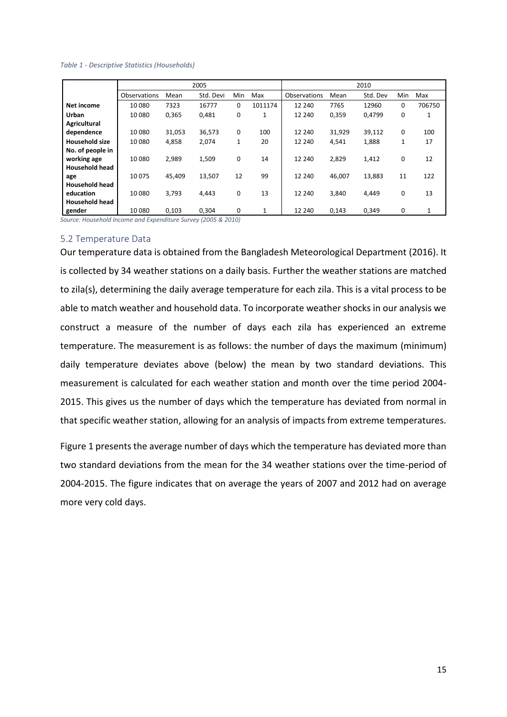#### <span id="page-19-1"></span>*Table 1 - Descriptive Statistics (Households)*

|                       |              |        | 2005      |     |              |              |        | 2010     |     |        |
|-----------------------|--------------|--------|-----------|-----|--------------|--------------|--------|----------|-----|--------|
|                       | Observations | Mean   | Std. Devi | Min | Max          | Observations | Mean   | Std. Dev | Min | Max    |
| Net income            | 10 080       | 7323   | 16777     | 0   | 1011174      | 12 240       | 7765   | 12960    | 0   | 706750 |
| Urban                 | 10 080       | 0,365  | 0,481     | 0   | $\mathbf{1}$ | 12 240       | 0,359  | 0.4799   | 0   | 1      |
| Agricultural          |              |        |           |     |              |              |        |          |     |        |
| dependence            | 10 080       | 31,053 | 36,573    | 0   | 100          | 12 240       | 31,929 | 39,112   | 0   | 100    |
| <b>Household size</b> | 10 0 80      | 4,858  | 2,074     | 1   | 20           | 12 240       | 4,541  | 1,888    | 1   | 17     |
| No. of people in      |              |        |           |     |              |              |        |          |     |        |
| working age           | 10 0 80      | 2,989  | 1,509     | 0   | 14           | 12 240       | 2,829  | 1,412    | 0   | 12     |
| <b>Household head</b> |              |        |           |     |              |              |        |          |     |        |
| age                   | 10 0 75      | 45.409 | 13,507    | 12  | 99           | 12 240       | 46,007 | 13,883   | 11  | 122    |
| <b>Household head</b> |              |        |           |     |              |              |        |          |     |        |
| education             | 10 0 80      | 3.793  | 4.443     | 0   | 13           | 12 240       | 3,840  | 4,449    | 0   | 13     |
| <b>Household head</b> |              |        |           |     |              |              |        |          |     |        |
| gender                | 10080        | 0.103  | 0.304     | 0   | 1            | 12 240       | 0.143  | 0.349    | 0   | 1      |

*Source: Household Income and Expenditure Survey (2005 & 2010)*

#### <span id="page-19-0"></span>5.2 Temperature Data

Our temperature data is obtained from the Bangladesh Meteorological Department (2016). It is collected by 34 weather stations on a daily basis. Further the weather stations are matched to zila(s), determining the daily average temperature for each zila. This is a vital process to be able to match weather and household data. To incorporate weather shocks in our analysis we construct a measure of the number of days each zila has experienced an extreme temperature. The measurement is as follows: the number of days the maximum (minimum) daily temperature deviates above (below) the mean by two standard deviations. This measurement is calculated for each weather station and month over the time period 2004- 2015. This gives us the number of days which the temperature has deviated from normal in that specific weather station, allowing for an analysis of impacts from extreme temperatures.

Figure 1 presents the average number of days which the temperature has deviated more than two standard deviations from the mean for the 34 weather stations over the time-period of 2004-2015. The figure indicates that on average the years of 2007 and 2012 had on average more very cold days.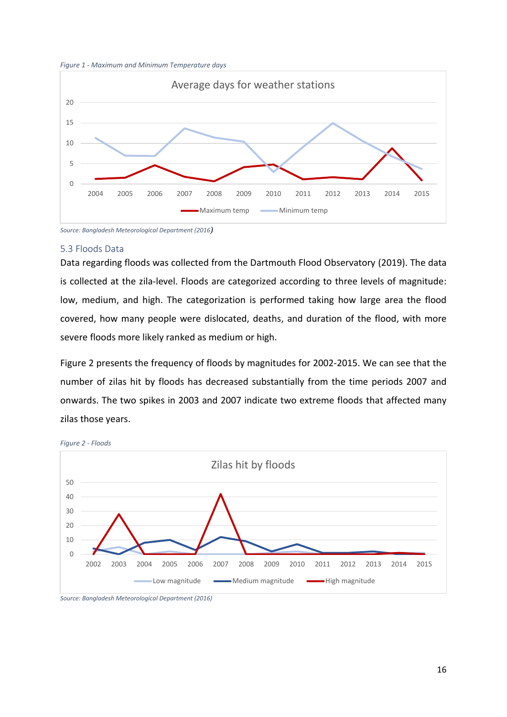<span id="page-20-1"></span>



*Source: Bangladesh Meteorological Department (2016)*

#### <span id="page-20-0"></span>5.3 Floods Data

Data regarding floods was collected from the Dartmouth Flood Observatory (2019). The data is collected at the zila-level. Floods are categorized according to three levels of magnitude: low, medium, and high. The categorization is performed taking how large area the flood covered, how many people were dislocated, deaths, and duration of the flood, with more severe floods more likely ranked as medium or high.

Figure 2 presents the frequency of floods by magnitudes for 2002-2015. We can see that the number of zilas hit by floods has decreased substantially from the time periods 2007 and onwards. The two spikes in 2003 and 2007 indicate two extreme floods that affected many zilas those years.



<span id="page-20-2"></span>*Figure 2 - Floods*

*Source: Bangladesh Meteorological Department (2016)*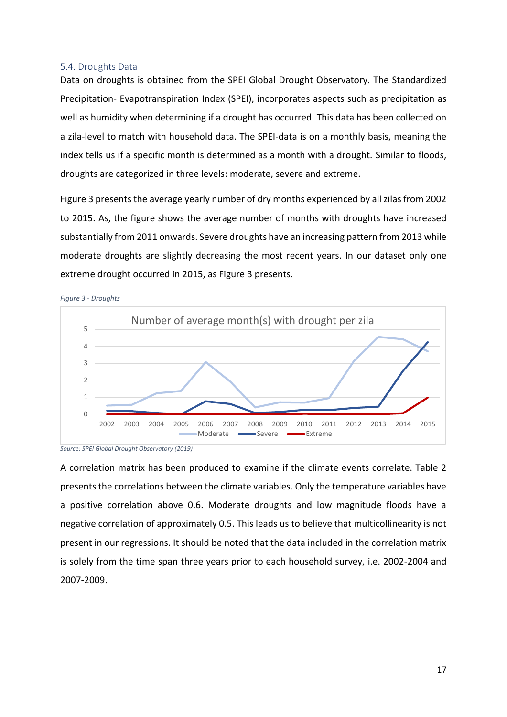#### <span id="page-21-0"></span>5.4. Droughts Data

Data on droughts is obtained from the SPEI Global Drought Observatory. The Standardized Precipitation- Evapotranspiration Index (SPEI), incorporates aspects such as precipitation as well as humidity when determining if a drought has occurred. This data has been collected on a zila-level to match with household data. The SPEI-data is on a monthly basis, meaning the index tells us if a specific month is determined as a month with a drought. Similar to floods, droughts are categorized in three levels: moderate, severe and extreme.

Figure 3 presents the average yearly number of dry months experienced by all zilas from 2002 to 2015. As, the figure shows the average number of months with droughts have increased substantially from 2011 onwards. Severe droughts have an increasing pattern from 2013 while moderate droughts are slightly decreasing the most recent years. In our dataset only one extreme drought occurred in 2015, as Figure 3 presents.

<span id="page-21-1"></span>



*Source: SPEI Global Drought Observatory (2019)*

A correlation matrix has been produced to examine if the climate events correlate. Table 2 presents the correlations between the climate variables. Only the temperature variables have a positive correlation above 0.6. Moderate droughts and low magnitude floods have a negative correlation of approximately 0.5. This leads us to believe that multicollinearity is not present in our regressions. It should be noted that the data included in the correlation matrix is solely from the time span three years prior to each household survey, i.e. 2002-2004 and 2007-2009.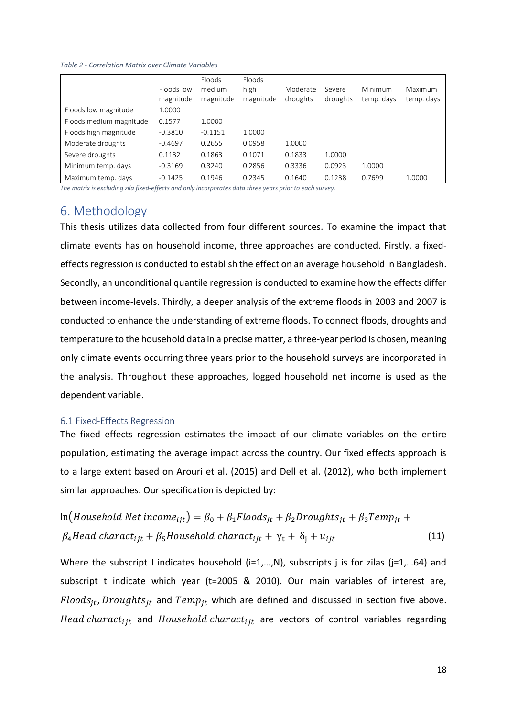*Table 2 - Correlation Matrix over Climate Variables*

|                         | Floods low<br>magnitude | Floods<br>medium<br>magnitude | Floods<br>high<br>magnitude | Moderate<br>droughts | Severe<br>droughts | Minimum<br>temp. days | Maximum<br>temp. days |
|-------------------------|-------------------------|-------------------------------|-----------------------------|----------------------|--------------------|-----------------------|-----------------------|
| Floods low magnitude    | 1.0000                  |                               |                             |                      |                    |                       |                       |
| Floods medium magnitude | 0.1577                  | 1.0000                        |                             |                      |                    |                       |                       |
| Floods high magnitude   | $-0.3810$               | $-0.1151$                     | 1.0000                      |                      |                    |                       |                       |
| Moderate droughts       | $-0.4697$               | 0.2655                        | 0.0958                      | 1.0000               |                    |                       |                       |
| Severe droughts         | 0.1132                  | 0.1863                        | 0.1071                      | 0.1833               | 1.0000             |                       |                       |
| Minimum temp. days      | $-0.3169$               | 0.3240                        | 0.2856                      | 0.3336               | 0.0923             | 1.0000                |                       |
| Maximum temp. days      | $-0.1425$               | 0.1946                        | 0.2345                      | 0.1640               | 0.1238             | 0.7699                | 1.0000                |

*The matrix is excluding zila fixed-effects and only incorporates data three years prior to each survey.*

## <span id="page-22-0"></span>6. Methodology

This thesis utilizes data collected from four different sources. To examine the impact that climate events has on household income, three approaches are conducted. Firstly, a fixedeffects regression is conducted to establish the effect on an average household in Bangladesh. Secondly, an unconditional quantile regression is conducted to examine how the effects differ between income-levels. Thirdly, a deeper analysis of the extreme floods in 2003 and 2007 is conducted to enhance the understanding of extreme floods. To connect floods, droughts and temperature to the household data in a precise matter, a three-year period is chosen, meaning only climate events occurring three years prior to the household surveys are incorporated in the analysis. Throughout these approaches, logged household net income is used as the dependent variable.

#### <span id="page-22-1"></span>6.1 Fixed-Effects Regression

The fixed effects regression estimates the impact of our climate variables on the entire population, estimating the average impact across the country. Our fixed effects approach is to a large extent based on Arouri et al. (2015) and Dell et al. (2012), who both implement similar approaches. Our specification is depicted by:

$$
\ln\left(Household Net income_{ijt}\right) = \beta_0 + \beta_1 Floods_{jt} + \beta_2 Droughts_{jt} + \beta_3Temp_{jt} + \beta_4 Head character_{ijt} + \beta_5 Household character_{ijt} + \gamma_t + \delta_j + u_{ijt}
$$
\n(11)

Where the subscript I indicates household (i=1,..., N), subscripts j is for zilas (j=1,...64) and subscript t indicate which year (t=2005 & 2010). Our main variables of interest are,  $Floods_{it}$ , Droughts<sub>it</sub> and Temp<sub>it</sub> which are defined and discussed in section five above. Head charact<sub>iit</sub> and Household charact<sub>iit</sub> are vectors of control variables regarding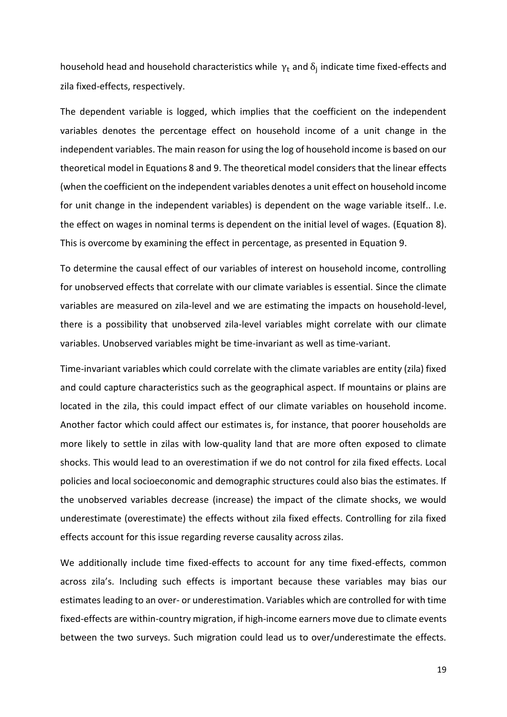household head and household characteristics while  $\gamma_t$  and  $\delta_j$  indicate time fixed-effects and zila fixed-effects, respectively.

The dependent variable is logged, which implies that the coefficient on the independent variables denotes the percentage effect on household income of a unit change in the independent variables. The main reason for using the log of household income is based on our theoretical model in Equations 8 and 9. The theoretical model considers that the linear effects (when the coefficient on the independent variables denotes a unit effect on household income for unit change in the independent variables) is dependent on the wage variable itself.. I.e. the effect on wages in nominal terms is dependent on the initial level of wages. (Equation 8). This is overcome by examining the effect in percentage, as presented in Equation 9.

To determine the causal effect of our variables of interest on household income, controlling for unobserved effects that correlate with our climate variables is essential. Since the climate variables are measured on zila-level and we are estimating the impacts on household-level, there is a possibility that unobserved zila-level variables might correlate with our climate variables. Unobserved variables might be time-invariant as well as time-variant.

Time-invariant variables which could correlate with the climate variables are entity (zila) fixed and could capture characteristics such as the geographical aspect. If mountains or plains are located in the zila, this could impact effect of our climate variables on household income. Another factor which could affect our estimates is, for instance, that poorer households are more likely to settle in zilas with low-quality land that are more often exposed to climate shocks. This would lead to an overestimation if we do not control for zila fixed effects. Local policies and local socioeconomic and demographic structures could also bias the estimates. If the unobserved variables decrease (increase) the impact of the climate shocks, we would underestimate (overestimate) the effects without zila fixed effects. Controlling for zila fixed effects account for this issue regarding reverse causality across zilas.

We additionally include time fixed-effects to account for any time fixed-effects, common across zila's. Including such effects is important because these variables may bias our estimates leading to an over- or underestimation. Variables which are controlled for with time fixed-effects are within-country migration, if high-income earners move due to climate events between the two surveys. Such migration could lead us to over/underestimate the effects.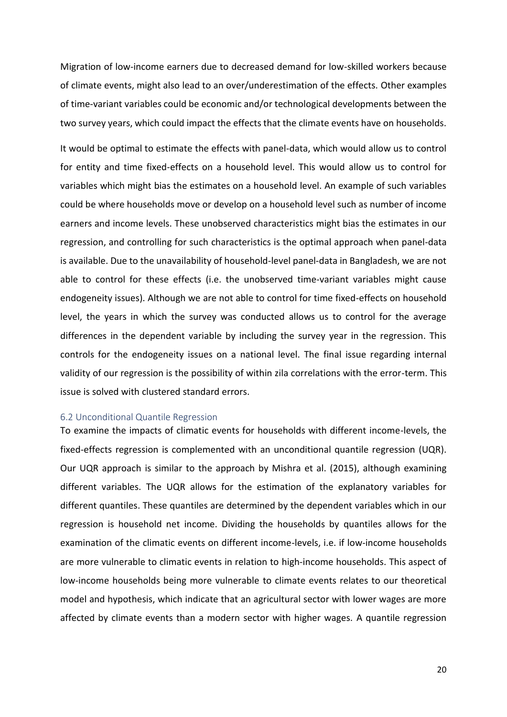Migration of low-income earners due to decreased demand for low-skilled workers because of climate events, might also lead to an over/underestimation of the effects. Other examples of time-variant variables could be economic and/or technological developments between the two survey years, which could impact the effects that the climate events have on households.

It would be optimal to estimate the effects with panel-data, which would allow us to control for entity and time fixed-effects on a household level. This would allow us to control for variables which might bias the estimates on a household level. An example of such variables could be where households move or develop on a household level such as number of income earners and income levels. These unobserved characteristics might bias the estimates in our regression, and controlling for such characteristics is the optimal approach when panel-data is available. Due to the unavailability of household-level panel-data in Bangladesh, we are not able to control for these effects (i.e. the unobserved time-variant variables might cause endogeneity issues). Although we are not able to control for time fixed-effects on household level, the years in which the survey was conducted allows us to control for the average differences in the dependent variable by including the survey year in the regression. This controls for the endogeneity issues on a national level. The final issue regarding internal validity of our regression is the possibility of within zila correlations with the error-term. This issue is solved with clustered standard errors.

#### <span id="page-24-0"></span>6.2 Unconditional Quantile Regression

To examine the impacts of climatic events for households with different income-levels, the fixed-effects regression is complemented with an unconditional quantile regression (UQR). Our UQR approach is similar to the approach by Mishra et al. (2015), although examining different variables. The UQR allows for the estimation of the explanatory variables for different quantiles. These quantiles are determined by the dependent variables which in our regression is household net income. Dividing the households by quantiles allows for the examination of the climatic events on different income-levels, i.e. if low-income households are more vulnerable to climatic events in relation to high-income households. This aspect of low-income households being more vulnerable to climate events relates to our theoretical model and hypothesis, which indicate that an agricultural sector with lower wages are more affected by climate events than a modern sector with higher wages. A quantile regression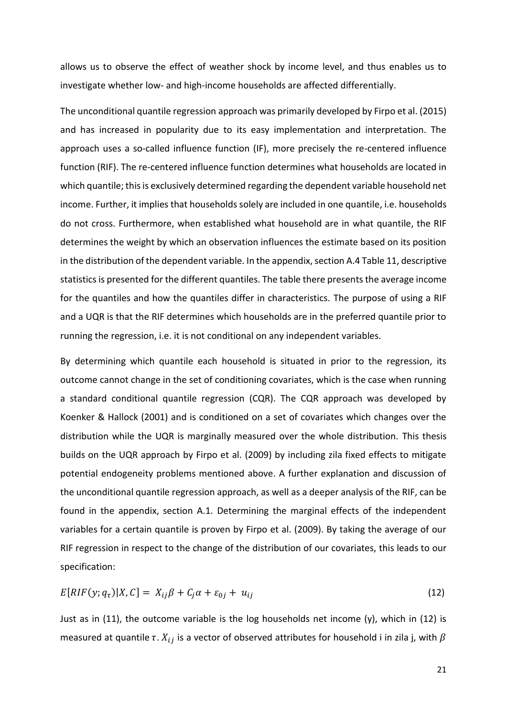allows us to observe the effect of weather shock by income level, and thus enables us to investigate whether low- and high-income households are affected differentially.

The unconditional quantile regression approach was primarily developed by Firpo et al. (2015) and has increased in popularity due to its easy implementation and interpretation. The approach uses a so-called influence function (IF), more precisely the re-centered influence function (RIF). The re-centered influence function determines what households are located in which quantile; this is exclusively determined regarding the dependent variable household net income. Further, it implies that households solely are included in one quantile, i.e. households do not cross. Furthermore, when established what household are in what quantile, the RIF determines the weight by which an observation influences the estimate based on its position in the distribution of the dependent variable. In the appendix, section A.4 Table 11, descriptive statistics is presented for the different quantiles. The table there presents the average income for the quantiles and how the quantiles differ in characteristics. The purpose of using a RIF and a UQR is that the RIF determines which households are in the preferred quantile prior to running the regression, i.e. it is not conditional on any independent variables.

By determining which quantile each household is situated in prior to the regression, its outcome cannot change in the set of conditioning covariates, which is the case when running a standard conditional quantile regression (CQR). The CQR approach was developed by Koenker & Hallock (2001) and is conditioned on a set of covariates which changes over the distribution while the UQR is marginally measured over the whole distribution. This thesis builds on the UQR approach by Firpo et al. (2009) by including zila fixed effects to mitigate potential endogeneity problems mentioned above. A further explanation and discussion of the unconditional quantile regression approach, as well as a deeper analysis of the RIF, can be found in the appendix, section A.1. Determining the marginal effects of the independent variables for a certain quantile is proven by Firpo et al. (2009). By taking the average of our RIF regression in respect to the change of the distribution of our covariates, this leads to our specification:

$$
E[RIF(y; q\tau)|X, C] = Xij \beta + C_j \alpha + \varepsilon_{0j} + u_{ij}
$$
\n(12)

Just as in (11), the outcome variable is the log households net income (y), which in (12) is measured at quantile  $\tau$ .  $X_{ij}$  is a vector of observed attributes for household i in zila j, with  $\beta$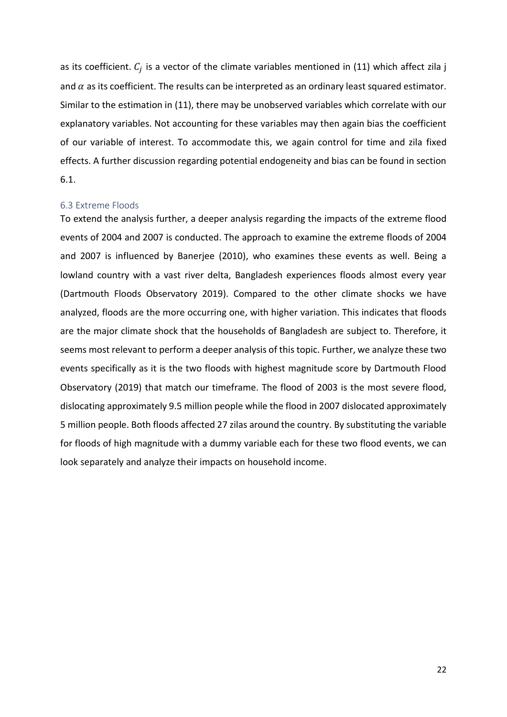as its coefficient.  $\mathcal{C}_j$  is a vector of the climate variables mentioned in (11) which affect zila j and  $\alpha$  as its coefficient. The results can be interpreted as an ordinary least squared estimator. Similar to the estimation in (11), there may be unobserved variables which correlate with our explanatory variables. Not accounting for these variables may then again bias the coefficient of our variable of interest. To accommodate this, we again control for time and zila fixed effects. A further discussion regarding potential endogeneity and bias can be found in section 6.1.

#### <span id="page-26-0"></span>6.3 Extreme Floods

To extend the analysis further, a deeper analysis regarding the impacts of the extreme flood events of 2004 and 2007 is conducted. The approach to examine the extreme floods of 2004 and 2007 is influenced by Banerjee (2010), who examines these events as well. Being a lowland country with a vast river delta, Bangladesh experiences floods almost every year (Dartmouth Floods Observatory 2019). Compared to the other climate shocks we have analyzed, floods are the more occurring one, with higher variation. This indicates that floods are the major climate shock that the households of Bangladesh are subject to. Therefore, it seems most relevant to perform a deeper analysis of this topic. Further, we analyze these two events specifically as it is the two floods with highest magnitude score by Dartmouth Flood Observatory (2019) that match our timeframe. The flood of 2003 is the most severe flood, dislocating approximately 9.5 million people while the flood in 2007 dislocated approximately 5 million people. Both floods affected 27 zilas around the country. By substituting the variable for floods of high magnitude with a dummy variable each for these two flood events, we can look separately and analyze their impacts on household income.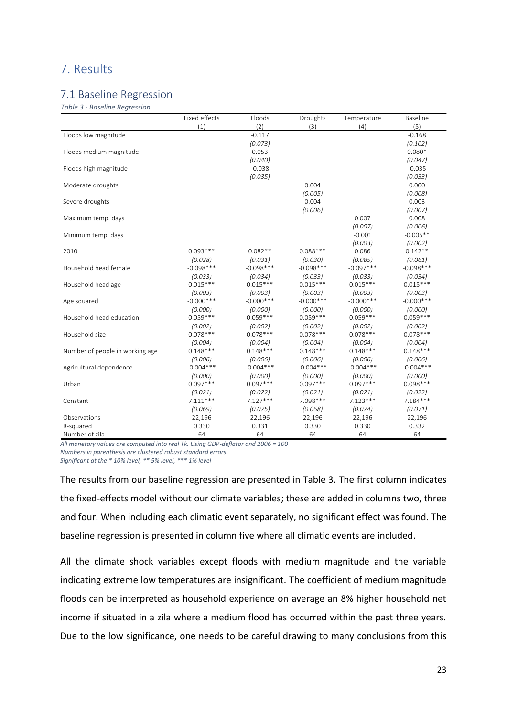## <span id="page-27-0"></span>7. Results

### <span id="page-27-1"></span>7.1 Baseline Regression

*Table 3 - Baseline Regression*

|                                 | Fixed effects | Floods       | Droughts     | Temperature  | Baseline     |
|---------------------------------|---------------|--------------|--------------|--------------|--------------|
|                                 | (1)           | (2)          | (3)          | (4)          | (5)          |
| Floods low magnitude            |               | $-0.117$     |              |              | $-0.168$     |
|                                 |               | (0.073)      |              |              | (0.102)      |
| Floods medium magnitude         |               | 0.053        |              |              | $0.080*$     |
|                                 |               | (0.040)      |              |              | (0.047)      |
| Floods high magnitude           |               | $-0.038$     |              |              | $-0.035$     |
|                                 |               | (0.035)      |              |              | (0.033)      |
| Moderate droughts               |               |              | 0.004        |              | 0.000        |
|                                 |               |              | (0.005)      |              | (0.008)      |
| Severe droughts                 |               |              | 0.004        |              | 0.003        |
|                                 |               |              | (0.006)      |              | (0.007)      |
| Maximum temp. days              |               |              |              | 0.007        | 0.008        |
|                                 |               |              |              | (0.007)      | (0.006)      |
| Minimum temp. days              |               |              |              | $-0.001$     | $-0.005**$   |
|                                 |               |              |              | (0.003)      | (0.002)      |
| 2010                            | $0.093***$    | $0.082**$    | $0.088***$   | 0.086        | $0.142**$    |
|                                 | (0.028)       | (0.031)      | (0.030)      | (0.085)      | (0.061)      |
| Household head female           | $-0.098***$   | $-0.098***$  | $-0.098***$  | $-0.097***$  | $-0.098***$  |
|                                 | (0.033)       | (0.034)      | (0.033)      | (0.033)      | (0.034)      |
| Household head age              | $0.015***$    | $0.015***$   | $0.015***$   | $0.015***$   | $0.015***$   |
|                                 | (0.003)       | (0.003)      | (0.003)      | (0.003)      | (0.003)      |
| Age squared                     | $-0.000$ ***  | $-0.000$ *** | $-0.000$ *** | $-0.000$ *** | $-0.000$ *** |
|                                 | (0.000)       | (0.000)      | (0.000)      | (0.000)      | (0.000)      |
| Household head education        | $0.059***$    | $0.059***$   | $0.059***$   | $0.059***$   | $0.059***$   |
|                                 | (0.002)       | (0.002)      | (0.002)      | (0.002)      | (0.002)      |
| Household size                  | $0.078***$    | $0.078***$   | $0.078***$   | $0.078***$   | $0.078***$   |
|                                 | (0.004)       | (0.004)      | (0.004)      | (0.004)      | (0.004)      |
| Number of people in working age | $0.148***$    | $0.148***$   | $0.148***$   | $0.148***$   | $0.148***$   |
|                                 | (0.006)       | (0.006)      | (0.006)      | (0.006)      | (0.006)      |
| Agricultural dependence         | $-0.004***$   | $-0.004***$  | $-0.004***$  | $-0.004***$  | $-0.004***$  |
|                                 | (0.000)       | (0.000)      | (0.000)      | (0.000)      | (0.000)      |
| Urban                           | $0.097***$    | $0.097***$   | $0.097***$   | $0.097***$   | $0.098***$   |
|                                 | (0.021)       | (0.022)      | (0.021)      | (0.021)      | (0.022)      |
| Constant                        | $7.111***$    | $7.127***$   | 7.098***     | $7.123***$   | $7.184***$   |
|                                 | (0.069)       | (0.075)      | (0.068)      | (0.074)      | (0.071)      |
| Observations                    | 22,196        | 22,196       | 22,196       | 22,196       | 22,196       |
| R-squared                       | 0.330         | 0.331        | 0.330        | 0.330        | 0.332        |
| Number of zila                  | 64            | 64           | 64           | 64           | 64           |

*All monetary values are computed into real Tk. Using GDP-deflator and 2006 = 100 Numbers in parenthesis are clustered robust standard errors. Significant at the \* 10% level, \*\* 5% level, \*\*\* 1% level*

The results from our baseline regression are presented in Table 3. The first column indicates the fixed-effects model without our climate variables; these are added in columns two, three and four. When including each climatic event separately, no significant effect was found. The baseline regression is presented in column five where all climatic events are included.

All the climate shock variables except floods with medium magnitude and the variable indicating extreme low temperatures are insignificant. The coefficient of medium magnitude floods can be interpreted as household experience on average an 8% higher household net income if situated in a zila where a medium flood has occurred within the past three years. Due to the low significance, one needs to be careful drawing to many conclusions from this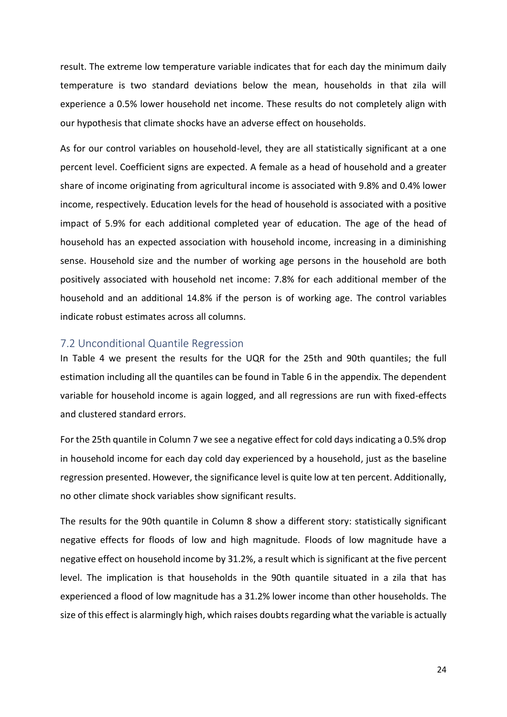result. The extreme low temperature variable indicates that for each day the minimum daily temperature is two standard deviations below the mean, households in that zila will experience a 0.5% lower household net income. These results do not completely align with our hypothesis that climate shocks have an adverse effect on households.

As for our control variables on household-level, they are all statistically significant at a one percent level. Coefficient signs are expected. A female as a head of household and a greater share of income originating from agricultural income is associated with 9.8% and 0.4% lower income, respectively. Education levels for the head of household is associated with a positive impact of 5.9% for each additional completed year of education. The age of the head of household has an expected association with household income, increasing in a diminishing sense. Household size and the number of working age persons in the household are both positively associated with household net income: 7.8% for each additional member of the household and an additional 14.8% if the person is of working age. The control variables indicate robust estimates across all columns.

#### <span id="page-28-0"></span>7.2 Unconditional Quantile Regression

In Table 4 we present the results for the UQR for the 25th and 90th quantiles; the full estimation including all the quantiles can be found in Table 6 in the appendix. The dependent variable for household income is again logged, and all regressions are run with fixed-effects and clustered standard errors.

For the 25th quantile in Column 7 we see a negative effect for cold days indicating a 0.5% drop in household income for each day cold day experienced by a household, just as the baseline regression presented. However, the significance level is quite low at ten percent. Additionally, no other climate shock variables show significant results.

The results for the 90th quantile in Column 8 show a different story: statistically significant negative effects for floods of low and high magnitude. Floods of low magnitude have a negative effect on household income by 31.2%, a result which is significant at the five percent level. The implication is that households in the 90th quantile situated in a zila that has experienced a flood of low magnitude has a 31.2% lower income than other households. The size of this effect is alarmingly high, which raises doubts regarding what the variable is actually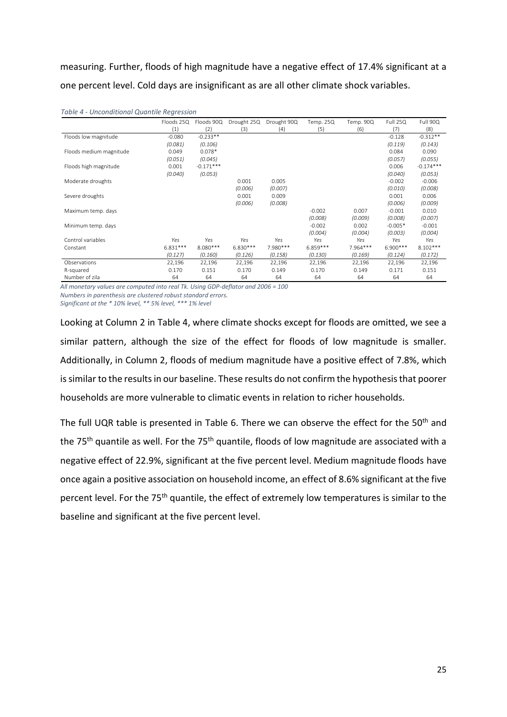measuring. Further, floods of high magnitude have a negative effect of 17.4% significant at a one percent level. Cold days are insignificant as are all other climate shock variables.

|                         | Floods 25Q | Floods 90Q  | Drought 25Q | Drought 90Q | Temp. 25Q  | Temp. 90Q | Full 25Q   | Full 90Q    |
|-------------------------|------------|-------------|-------------|-------------|------------|-----------|------------|-------------|
|                         | (1)        | (2)         | (3)         | (4)         | (5)        | (6)       | (7)        | (8)         |
| Floods low magnitude    | $-0.080$   | $-0.233**$  |             |             |            |           | $-0.128$   | $-0.312**$  |
|                         | (0.081)    | (0.106)     |             |             |            |           | (0.119)    | (0.143)     |
| Floods medium magnitude | 0.049      | $0.078*$    |             |             |            |           | 0.084      | 0.090       |
|                         | (0.051)    | (0.045)     |             |             |            |           | (0.057)    | (0.055)     |
| Floods high magnitude   | 0.001      | $-0.171***$ |             |             |            |           | 0.006      | $-0.174***$ |
|                         | (0.040)    | (0.053)     |             |             |            |           | (0.040)    | (0.053)     |
| Moderate droughts       |            |             | 0.001       | 0.005       |            |           | $-0.002$   | $-0.006$    |
|                         |            |             | (0.006)     | (0.007)     |            |           | (0.010)    | (0.008)     |
| Severe droughts         |            |             | 0.001       | 0.009       |            |           | 0.001      | 0.006       |
|                         |            |             | (0.006)     | (0.008)     |            |           | (0.006)    | (0.009)     |
| Maximum temp. days      |            |             |             |             | $-0.002$   | 0.007     | $-0.001$   | 0.010       |
|                         |            |             |             |             | (0.008)    | (0.009)   | (0.008)    | (0.007)     |
| Minimum temp. days      |            |             |             |             | $-0.002$   | 0.002     | $-0.005*$  | $-0.001$    |
|                         |            |             |             |             | (0.004)    | (0.004)   | (0.003)    | (0.004)     |
| Control variables       | Yes        | Yes         | Yes         | Yes         | Yes        | Yes       | Yes        | Yes         |
| Constant                | $6.831***$ | 8.080 ***   | $6.830***$  | 7.980 ***   | $6.859***$ | 7.964 *** | $6.900***$ | $8.102***$  |
|                         | (0.127)    | (0.160)     | (0.126)     | (0.158)     | (0.130)    | (0.169)   | (0.124)    | (0.172)     |
| Observations            | 22,196     | 22,196      | 22,196      | 22,196      | 22,196     | 22,196    | 22,196     | 22,196      |
| R-squared               | 0.170      | 0.151       | 0.170       | 0.149       | 0.170      | 0.149     | 0.171      | 0.151       |
| Number of zila          | 64         | 64          | 64          | 64          | 64         | 64        | 64         | 64          |

*Table 4 - Unconditional Quantile Regression*

*All monetary values are computed into real Tk. Using GDP-deflator and 2006 = 100 Numbers in parenthesis are clustered robust standard errors.* 

*Significant at the \* 10% level, \*\* 5% level, \*\*\* 1% level*

Looking at Column 2 in Table 4, where climate shocks except for floods are omitted, we see a similar pattern, although the size of the effect for floods of low magnitude is smaller. Additionally, in Column 2, floods of medium magnitude have a positive effect of 7.8%, which is similar to the results in our baseline. These results do not confirm the hypothesis that poorer households are more vulnerable to climatic events in relation to richer households.

The full UQR table is presented in Table 6. There we can observe the effect for the 50<sup>th</sup> and the 75<sup>th</sup> quantile as well. For the 75<sup>th</sup> quantile, floods of low magnitude are associated with a negative effect of 22.9%, significant at the five percent level. Medium magnitude floods have once again a positive association on household income, an effect of 8.6% significant at the five percent level. For the 75<sup>th</sup> quantile, the effect of extremely low temperatures is similar to the baseline and significant at the five percent level.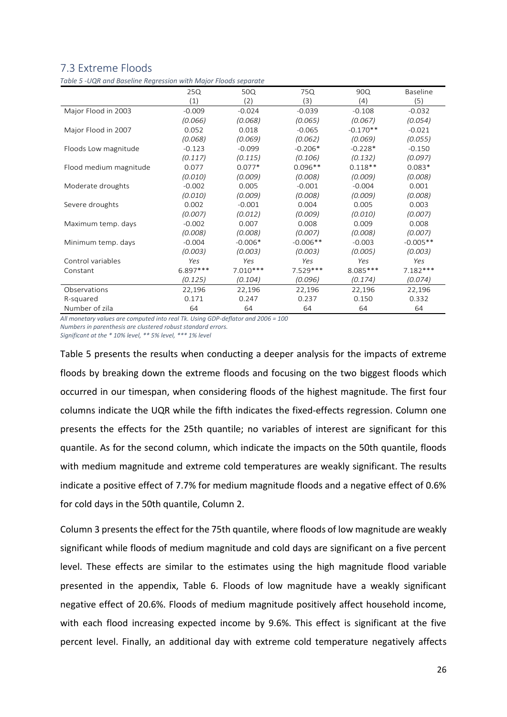## <span id="page-30-0"></span>7.3 Extreme Floods

*Table 5 -UQR and Baseline Regression with Major Floods separate*

|                        | 25Q        | 50Q        | 75Q        | 90Q        | <b>Baseline</b> |
|------------------------|------------|------------|------------|------------|-----------------|
|                        | (1)        | (2)        | (3)        | (4)        | (5)             |
| Major Flood in 2003    | $-0.009$   | $-0.024$   | $-0.039$   | $-0.108$   | $-0.032$        |
|                        | (0.066)    | (0.068)    | (0.065)    | (0.067)    | (0.054)         |
| Major Flood in 2007    | 0.052      | 0.018      | $-0.065$   | $-0.170**$ | $-0.021$        |
|                        | (0.068)    | (0.069)    | (0.062)    | (0.069)    | (0.055)         |
| Floods Low magnitude   | $-0.123$   | $-0.099$   | $-0.206*$  | $-0.228*$  | $-0.150$        |
|                        | (0.117)    | (0.115)    | (0.106)    | (0.132)    | (0.097)         |
| Flood medium magnitude | 0.077      | $0.077*$   | $0.096**$  | $0.118**$  | $0.083*$        |
|                        | (0.010)    | (0.009)    | (0.008)    | (0.009)    | (0.008)         |
| Moderate droughts      | $-0.002$   | 0.005      | $-0.001$   | $-0.004$   | 0.001           |
|                        | (0.010)    | (0.009)    | (0.008)    | (0.009)    | (0.008)         |
| Severe droughts        | 0.002      | $-0.001$   | 0.004      | 0.005      | 0.003           |
|                        | (0.007)    | (0.012)    | (0.009)    | (0.010)    | (0.007)         |
| Maximum temp. days     | $-0.002$   | 0.007      | 0.008      | 0.009      | 0.008           |
|                        | (0.008)    | (0.008)    | (0.007)    | (0.008)    | (0.007)         |
| Minimum temp. days     | $-0.004$   | $-0.006*$  | $-0.006**$ | $-0.003$   | $-0.005**$      |
|                        | (0.003)    | (0.003)    | (0.003)    | (0.005)    | (0.003)         |
| Control variables      | Yes        | Yes        | Yes        | Yes        | Yes             |
| Constant               | $6.897***$ | $7.010***$ | $7.529***$ | $8.085***$ | $7.182***$      |
|                        | (0.125)    | (0.104)    | (0.096)    | (0.174)    | (0.074)         |
| Observations           | 22,196     | 22,196     | 22,196     | 22,196     | 22,196          |
| R-squared              | 0.171      | 0.247      | 0.237      | 0.150      | 0.332           |
| Number of zila         | 64         | 64         | 64         | 64         | 64              |

*All monetary values are computed into real Tk. Using GDP-deflator and 2006 = 100 Numbers in parenthesis are clustered robust standard errors.* 

*Significant at the \* 10% level, \*\* 5% level, \*\*\* 1% level*

Table 5 presents the results when conducting a deeper analysis for the impacts of extreme floods by breaking down the extreme floods and focusing on the two biggest floods which occurred in our timespan, when considering floods of the highest magnitude. The first four columns indicate the UQR while the fifth indicates the fixed-effects regression. Column one presents the effects for the 25th quantile; no variables of interest are significant for this quantile. As for the second column, which indicate the impacts on the 50th quantile, floods with medium magnitude and extreme cold temperatures are weakly significant. The results indicate a positive effect of 7.7% for medium magnitude floods and a negative effect of 0.6% for cold days in the 50th quantile, Column 2.

Column 3 presents the effect for the 75th quantile, where floods of low magnitude are weakly significant while floods of medium magnitude and cold days are significant on a five percent level. These effects are similar to the estimates using the high magnitude flood variable presented in the appendix, Table 6. Floods of low magnitude have a weakly significant negative effect of 20.6%. Floods of medium magnitude positively affect household income, with each flood increasing expected income by 9.6%. This effect is significant at the five percent level. Finally, an additional day with extreme cold temperature negatively affects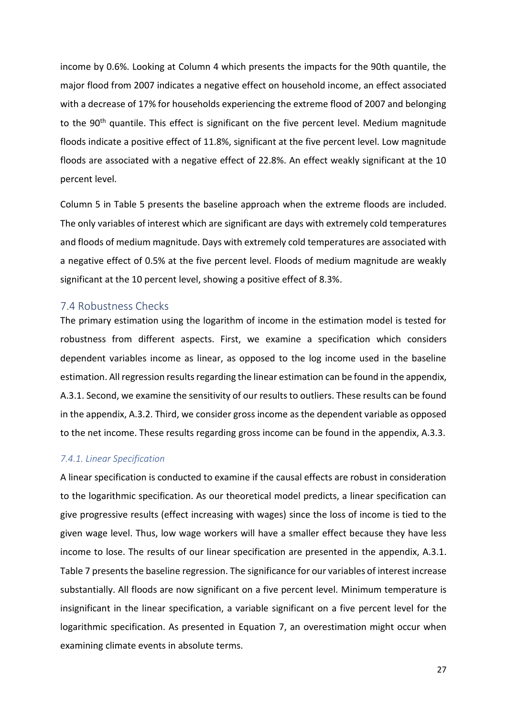income by 0.6%. Looking at Column 4 which presents the impacts for the 90th quantile, the major flood from 2007 indicates a negative effect on household income, an effect associated with a decrease of 17% for households experiencing the extreme flood of 2007 and belonging to the 90<sup>th</sup> quantile. This effect is significant on the five percent level. Medium magnitude floods indicate a positive effect of 11.8%, significant at the five percent level. Low magnitude floods are associated with a negative effect of 22.8%. An effect weakly significant at the 10 percent level.

Column 5 in Table 5 presents the baseline approach when the extreme floods are included. The only variables of interest which are significant are days with extremely cold temperatures and floods of medium magnitude. Days with extremely cold temperatures are associated with a negative effect of 0.5% at the five percent level. Floods of medium magnitude are weakly significant at the 10 percent level, showing a positive effect of 8.3%.

#### <span id="page-31-0"></span>7.4 Robustness Checks

The primary estimation using the logarithm of income in the estimation model is tested for robustness from different aspects. First, we examine a specification which considers dependent variables income as linear, as opposed to the log income used in the baseline estimation. All regression results regarding the linear estimation can be found in the appendix, A.3.1. Second, we examine the sensitivity of our results to outliers. These results can be found in the appendix, A.3.2. Third, we consider gross income as the dependent variable as opposed to the net income. These results regarding gross income can be found in the appendix, A.3.3.

#### *7.4.1. Linear Specification*

A linear specification is conducted to examine if the causal effects are robust in consideration to the logarithmic specification. As our theoretical model predicts, a linear specification can give progressive results (effect increasing with wages) since the loss of income is tied to the given wage level. Thus, low wage workers will have a smaller effect because they have less income to lose. The results of our linear specification are presented in the appendix, A.3.1. Table 7 presents the baseline regression. The significance for our variables of interest increase substantially. All floods are now significant on a five percent level. Minimum temperature is insignificant in the linear specification, a variable significant on a five percent level for the logarithmic specification. As presented in Equation 7, an overestimation might occur when examining climate events in absolute terms.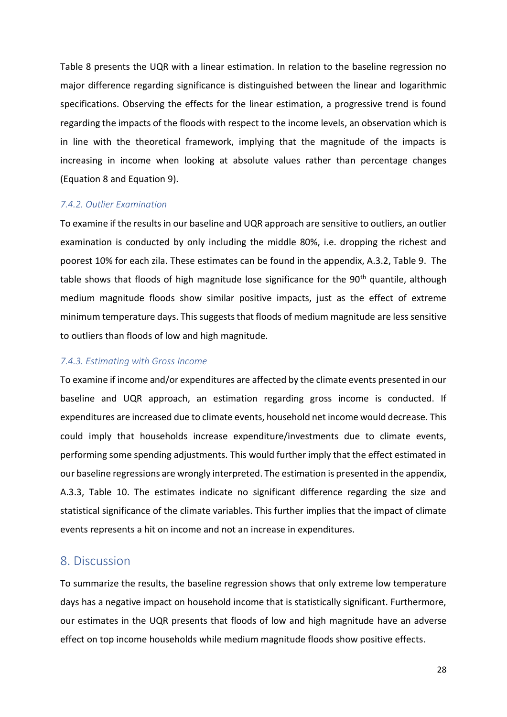Table 8 presents the UQR with a linear estimation. In relation to the baseline regression no major difference regarding significance is distinguished between the linear and logarithmic specifications. Observing the effects for the linear estimation, a progressive trend is found regarding the impacts of the floods with respect to the income levels, an observation which is in line with the theoretical framework, implying that the magnitude of the impacts is increasing in income when looking at absolute values rather than percentage changes (Equation 8 and Equation 9).

#### *7.4.2. Outlier Examination*

To examine if the results in our baseline and UQR approach are sensitive to outliers, an outlier examination is conducted by only including the middle 80%, i.e. dropping the richest and poorest 10% for each zila. These estimates can be found in the appendix, A.3.2, Table 9. The table shows that floods of high magnitude lose significance for the 90<sup>th</sup> quantile, although medium magnitude floods show similar positive impacts, just as the effect of extreme minimum temperature days. This suggests that floods of medium magnitude are less sensitive to outliers than floods of low and high magnitude.

#### *7.4.3. Estimating with Gross Income*

To examine if income and/or expenditures are affected by the climate events presented in our baseline and UQR approach, an estimation regarding gross income is conducted. If expenditures are increased due to climate events, household net income would decrease. This could imply that households increase expenditure/investments due to climate events, performing some spending adjustments. This would further imply that the effect estimated in our baseline regressions are wrongly interpreted. The estimation is presented in the appendix, A.3.3, Table 10. The estimates indicate no significant difference regarding the size and statistical significance of the climate variables. This further implies that the impact of climate events represents a hit on income and not an increase in expenditures.

### <span id="page-32-0"></span>8. Discussion

To summarize the results, the baseline regression shows that only extreme low temperature days has a negative impact on household income that is statistically significant. Furthermore, our estimates in the UQR presents that floods of low and high magnitude have an adverse effect on top income households while medium magnitude floods show positive effects.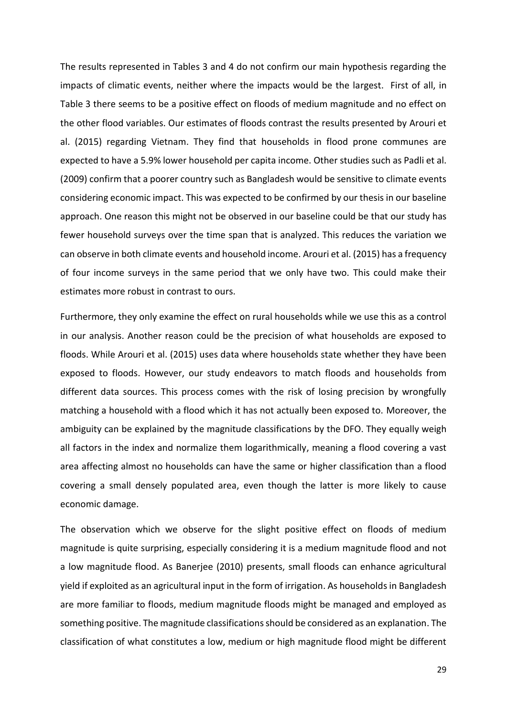The results represented in Tables 3 and 4 do not confirm our main hypothesis regarding the impacts of climatic events, neither where the impacts would be the largest. First of all, in Table 3 there seems to be a positive effect on floods of medium magnitude and no effect on the other flood variables. Our estimates of floods contrast the results presented by Arouri et al. (2015) regarding Vietnam. They find that households in flood prone communes are expected to have a 5.9% lower household per capita income. Other studies such as Padli et al. (2009) confirm that a poorer country such as Bangladesh would be sensitive to climate events considering economic impact. This was expected to be confirmed by our thesis in our baseline approach. One reason this might not be observed in our baseline could be that our study has fewer household surveys over the time span that is analyzed. This reduces the variation we can observe in both climate events and household income. Arouri et al. (2015) has a frequency of four income surveys in the same period that we only have two. This could make their estimates more robust in contrast to ours.

Furthermore, they only examine the effect on rural households while we use this as a control in our analysis. Another reason could be the precision of what households are exposed to floods. While Arouri et al. (2015) uses data where households state whether they have been exposed to floods. However, our study endeavors to match floods and households from different data sources. This process comes with the risk of losing precision by wrongfully matching a household with a flood which it has not actually been exposed to. Moreover, the ambiguity can be explained by the magnitude classifications by the DFO. They equally weigh all factors in the index and normalize them logarithmically, meaning a flood covering a vast area affecting almost no households can have the same or higher classification than a flood covering a small densely populated area, even though the latter is more likely to cause economic damage.

The observation which we observe for the slight positive effect on floods of medium magnitude is quite surprising, especially considering it is a medium magnitude flood and not a low magnitude flood. As Banerjee (2010) presents, small floods can enhance agricultural yield if exploited as an agricultural input in the form of irrigation. As households in Bangladesh are more familiar to floods, medium magnitude floods might be managed and employed as something positive. The magnitude classifications should be considered as an explanation. The classification of what constitutes a low, medium or high magnitude flood might be different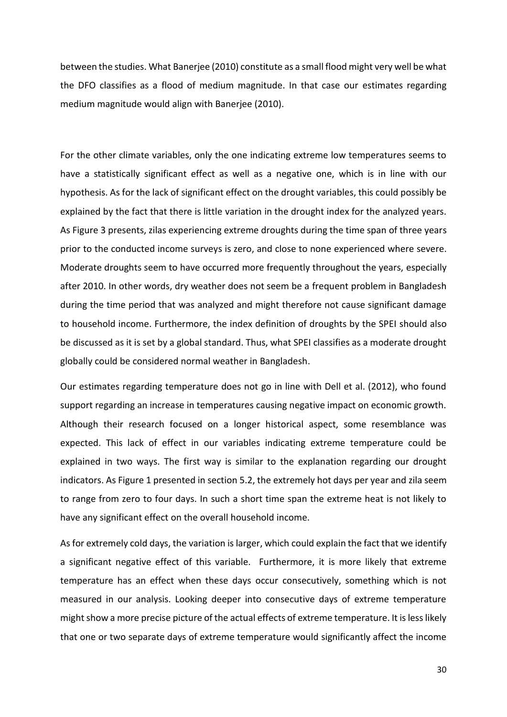between the studies. What Banerjee (2010) constitute as a small flood might very well be what the DFO classifies as a flood of medium magnitude. In that case our estimates regarding medium magnitude would align with Banerjee (2010).

For the other climate variables, only the one indicating extreme low temperatures seems to have a statistically significant effect as well as a negative one, which is in line with our hypothesis. As for the lack of significant effect on the drought variables, this could possibly be explained by the fact that there is little variation in the drought index for the analyzed years. As Figure 3 presents, zilas experiencing extreme droughts during the time span of three years prior to the conducted income surveys is zero, and close to none experienced where severe. Moderate droughts seem to have occurred more frequently throughout the years, especially after 2010. In other words, dry weather does not seem be a frequent problem in Bangladesh during the time period that was analyzed and might therefore not cause significant damage to household income. Furthermore, the index definition of droughts by the SPEI should also be discussed as it is set by a global standard. Thus, what SPEI classifies as a moderate drought globally could be considered normal weather in Bangladesh.

Our estimates regarding temperature does not go in line with Dell et al. (2012), who found support regarding an increase in temperatures causing negative impact on economic growth. Although their research focused on a longer historical aspect, some resemblance was expected. This lack of effect in our variables indicating extreme temperature could be explained in two ways. The first way is similar to the explanation regarding our drought indicators. As Figure 1 presented in section 5.2, the extremely hot days per year and zila seem to range from zero to four days. In such a short time span the extreme heat is not likely to have any significant effect on the overall household income.

As for extremely cold days, the variation is larger, which could explain the fact that we identify a significant negative effect of this variable. Furthermore, it is more likely that extreme temperature has an effect when these days occur consecutively, something which is not measured in our analysis. Looking deeper into consecutive days of extreme temperature might show a more precise picture of the actual effects of extreme temperature. It is less likely that one or two separate days of extreme temperature would significantly affect the income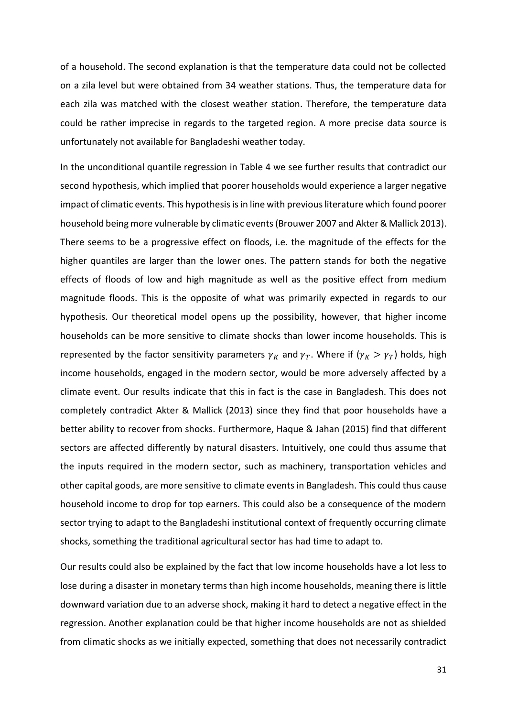of a household. The second explanation is that the temperature data could not be collected on a zila level but were obtained from 34 weather stations. Thus, the temperature data for each zila was matched with the closest weather station. Therefore, the temperature data could be rather imprecise in regards to the targeted region. A more precise data source is unfortunately not available for Bangladeshi weather today.

In the unconditional quantile regression in Table 4 we see further results that contradict our second hypothesis, which implied that poorer households would experience a larger negative impact of climatic events. This hypothesis isin line with previous literature which found poorer household being more vulnerable by climatic events (Brouwer 2007 and Akter & Mallick 2013). There seems to be a progressive effect on floods, i.e. the magnitude of the effects for the higher quantiles are larger than the lower ones. The pattern stands for both the negative effects of floods of low and high magnitude as well as the positive effect from medium magnitude floods. This is the opposite of what was primarily expected in regards to our hypothesis. Our theoretical model opens up the possibility, however, that higher income households can be more sensitive to climate shocks than lower income households. This is represented by the factor sensitivity parameters  $\gamma_K$  and  $\gamma_T$ . Where if ( $\gamma_K > \gamma_T$ ) holds, high income households, engaged in the modern sector, would be more adversely affected by a climate event. Our results indicate that this in fact is the case in Bangladesh. This does not completely contradict Akter & Mallick (2013) since they find that poor households have a better ability to recover from shocks. Furthermore, Haque & Jahan (2015) find that different sectors are affected differently by natural disasters. Intuitively, one could thus assume that the inputs required in the modern sector, such as machinery, transportation vehicles and other capital goods, are more sensitive to climate events in Bangladesh. This could thus cause household income to drop for top earners. This could also be a consequence of the modern sector trying to adapt to the Bangladeshi institutional context of frequently occurring climate shocks, something the traditional agricultural sector has had time to adapt to.

Our results could also be explained by the fact that low income households have a lot less to lose during a disaster in monetary terms than high income households, meaning there is little downward variation due to an adverse shock, making it hard to detect a negative effect in the regression. Another explanation could be that higher income households are not as shielded from climatic shocks as we initially expected, something that does not necessarily contradict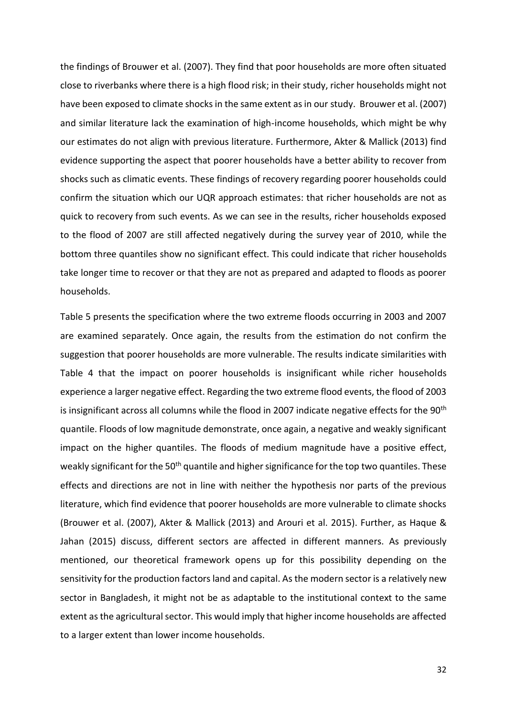the findings of Brouwer et al. (2007). They find that poor households are more often situated close to riverbanks where there is a high flood risk; in their study, richer households might not have been exposed to climate shocks in the same extent as in our study. Brouwer et al. (2007) and similar literature lack the examination of high-income households, which might be why our estimates do not align with previous literature. Furthermore, Akter & Mallick (2013) find evidence supporting the aspect that poorer households have a better ability to recover from shocks such as climatic events. These findings of recovery regarding poorer households could confirm the situation which our UQR approach estimates: that richer households are not as quick to recovery from such events. As we can see in the results, richer households exposed to the flood of 2007 are still affected negatively during the survey year of 2010, while the bottom three quantiles show no significant effect. This could indicate that richer households take longer time to recover or that they are not as prepared and adapted to floods as poorer households.

Table 5 presents the specification where the two extreme floods occurring in 2003 and 2007 are examined separately. Once again, the results from the estimation do not confirm the suggestion that poorer households are more vulnerable. The results indicate similarities with Table 4 that the impact on poorer households is insignificant while richer households experience a larger negative effect. Regarding the two extreme flood events, the flood of 2003 is insignificant across all columns while the flood in 2007 indicate negative effects for the 90<sup>th</sup> quantile. Floods of low magnitude demonstrate, once again, a negative and weakly significant impact on the higher quantiles. The floods of medium magnitude have a positive effect, weakly significant for the 50<sup>th</sup> quantile and higher significance for the top two quantiles. These effects and directions are not in line with neither the hypothesis nor parts of the previous literature, which find evidence that poorer households are more vulnerable to climate shocks (Brouwer et al. (2007), Akter & Mallick (2013) and Arouri et al. 2015). Further, as Haque & Jahan (2015) discuss, different sectors are affected in different manners. As previously mentioned, our theoretical framework opens up for this possibility depending on the sensitivity for the production factors land and capital. As the modern sector is a relatively new sector in Bangladesh, it might not be as adaptable to the institutional context to the same extent as the agricultural sector. This would imply that higher income households are affected to a larger extent than lower income households.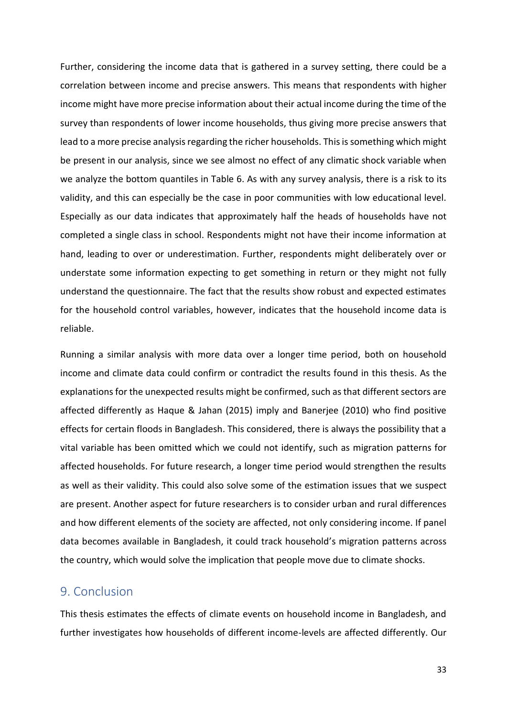Further, considering the income data that is gathered in a survey setting, there could be a correlation between income and precise answers. This means that respondents with higher income might have more precise information about their actual income during the time of the survey than respondents of lower income households, thus giving more precise answers that lead to a more precise analysis regarding the richer households. This is something which might be present in our analysis, since we see almost no effect of any climatic shock variable when we analyze the bottom quantiles in Table 6. As with any survey analysis, there is a risk to its validity, and this can especially be the case in poor communities with low educational level. Especially as our data indicates that approximately half the heads of households have not completed a single class in school. Respondents might not have their income information at hand, leading to over or underestimation. Further, respondents might deliberately over or understate some information expecting to get something in return or they might not fully understand the questionnaire. The fact that the results show robust and expected estimates for the household control variables, however, indicates that the household income data is reliable.

Running a similar analysis with more data over a longer time period, both on household income and climate data could confirm or contradict the results found in this thesis. As the explanations for the unexpected results might be confirmed, such as that different sectors are affected differently as Haque & Jahan (2015) imply and Banerjee (2010) who find positive effects for certain floods in Bangladesh. This considered, there is always the possibility that a vital variable has been omitted which we could not identify, such as migration patterns for affected households. For future research, a longer time period would strengthen the results as well as their validity. This could also solve some of the estimation issues that we suspect are present. Another aspect for future researchers is to consider urban and rural differences and how different elements of the society are affected, not only considering income. If panel data becomes available in Bangladesh, it could track household's migration patterns across the country, which would solve the implication that people move due to climate shocks.

## <span id="page-37-0"></span>9. Conclusion

This thesis estimates the effects of climate events on household income in Bangladesh, and further investigates how households of different income-levels are affected differently. Our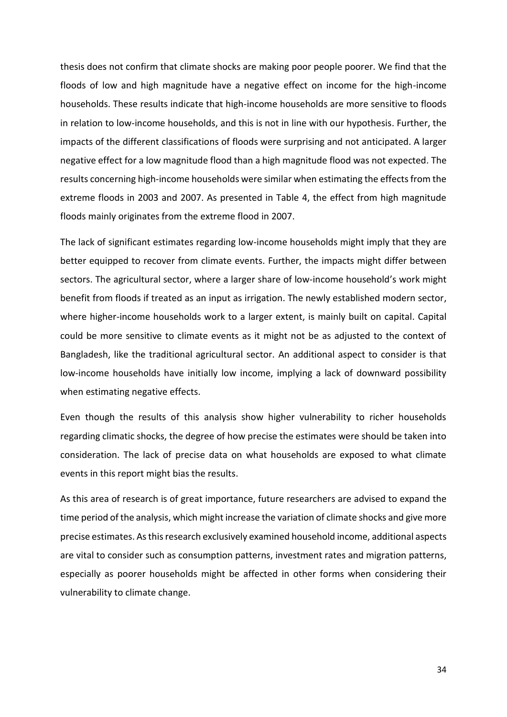thesis does not confirm that climate shocks are making poor people poorer. We find that the floods of low and high magnitude have a negative effect on income for the high-income households. These results indicate that high-income households are more sensitive to floods in relation to low-income households, and this is not in line with our hypothesis. Further, the impacts of the different classifications of floods were surprising and not anticipated. A larger negative effect for a low magnitude flood than a high magnitude flood was not expected. The results concerning high-income households were similar when estimating the effects from the extreme floods in 2003 and 2007. As presented in Table 4, the effect from high magnitude floods mainly originates from the extreme flood in 2007.

The lack of significant estimates regarding low-income households might imply that they are better equipped to recover from climate events. Further, the impacts might differ between sectors. The agricultural sector, where a larger share of low-income household's work might benefit from floods if treated as an input as irrigation. The newly established modern sector, where higher-income households work to a larger extent, is mainly built on capital. Capital could be more sensitive to climate events as it might not be as adjusted to the context of Bangladesh, like the traditional agricultural sector. An additional aspect to consider is that low-income households have initially low income, implying a lack of downward possibility when estimating negative effects.

Even though the results of this analysis show higher vulnerability to richer households regarding climatic shocks, the degree of how precise the estimates were should be taken into consideration. The lack of precise data on what households are exposed to what climate events in this report might bias the results.

As this area of research is of great importance, future researchers are advised to expand the time period of the analysis, which might increase the variation of climate shocks and give more precise estimates. As this research exclusively examined household income, additional aspects are vital to consider such as consumption patterns, investment rates and migration patterns, especially as poorer households might be affected in other forms when considering their vulnerability to climate change.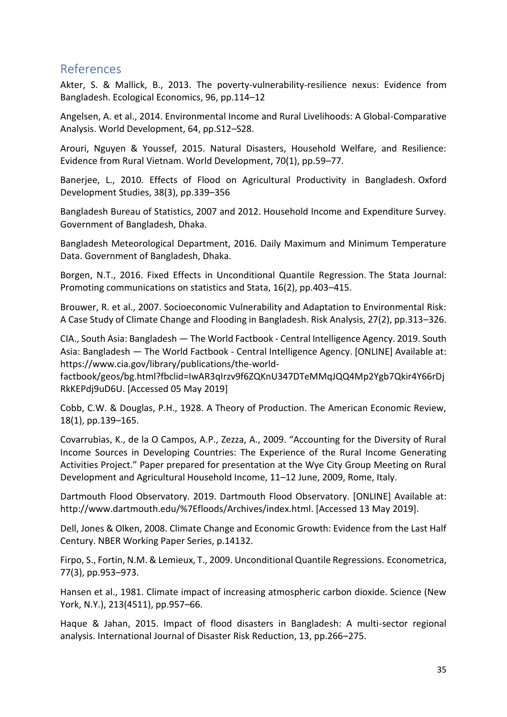## <span id="page-39-0"></span>References

Akter, S. & Mallick, B., 2013. The poverty-vulnerability-resilience nexus: Evidence from Bangladesh. Ecological Economics, 96, pp.114–12

Angelsen, A. et al., 2014. Environmental Income and Rural Livelihoods: A Global-Comparative Analysis. World Development, 64, pp.S12–S28.

Arouri, Nguyen & Youssef, 2015. Natural Disasters, Household Welfare, and Resilience: Evidence from Rural Vietnam. World Development, 70(1), pp.59–77.

Banerjee, L., 2010. Effects of Flood on Agricultural Productivity in Bangladesh. Oxford Development Studies, 38(3), pp.339–356

Bangladesh Bureau of Statistics, 2007 and 2012. Household Income and Expenditure Survey. Government of Bangladesh, Dhaka.

Bangladesh Meteorological Department, 2016. Daily Maximum and Minimum Temperature Data. Government of Bangladesh, Dhaka.

Borgen, N.T., 2016. Fixed Effects in Unconditional Quantile Regression. The Stata Journal: Promoting communications on statistics and Stata, 16(2), pp.403–415.

Brouwer, R. et al., 2007. Socioeconomic Vulnerability and Adaptation to Environmental Risk: A Case Study of Climate Change and Flooding in Bangladesh. Risk Analysis, 27(2), pp.313–326.

CIA., South Asia: Bangladesh — The World Factbook - Central Intelligence Agency. 2019. South Asia: Bangladesh — The World Factbook - Central Intelligence Agency. [ONLINE] Available at: https://www.cia.gov/library/publications/the-world-

factbook/geos/bg.html?fbclid=IwAR3qIrzv9f6ZQKnU347DTeMMqJQQ4Mp2Ygb7Qkir4Y66rDj RkKEPdj9uD6U. [Accessed 05 May 2019]

Cobb, C.W. & Douglas, P.H., 1928. A Theory of Production. The American Economic Review, 18(1), pp.139–165.

Covarrubias, K., de la O Campos, A.P., Zezza, A., 2009. "Accounting for the Diversity of Rural Income Sources in Developing Countries: The Experience of the Rural Income Generating Activities Project." Paper prepared for presentation at the Wye City Group Meeting on Rural Development and Agricultural Household Income, 11–12 June, 2009, Rome, Italy.

Dartmouth Flood Observatory. 2019. Dartmouth Flood Observatory. [ONLINE] Available at: http://www.dartmouth.edu/%7Efloods/Archives/index.html. [Accessed 13 May 2019].

Dell, Jones & Olken, 2008. Climate Change and Economic Growth: Evidence from the Last Half Century. NBER Working Paper Series, p.14132.

Firpo, S., Fortin, N.M. & Lemieux, T., 2009. Unconditional Quantile Regressions. Econometrica, 77(3), pp.953–973.

Hansen et al., 1981. Climate impact of increasing atmospheric carbon dioxide. Science (New York, N.Y.), 213(4511), pp.957–66.

Haque & Jahan, 2015. Impact of flood disasters in Bangladesh: A multi-sector regional analysis. International Journal of Disaster Risk Reduction, 13, pp.266–275.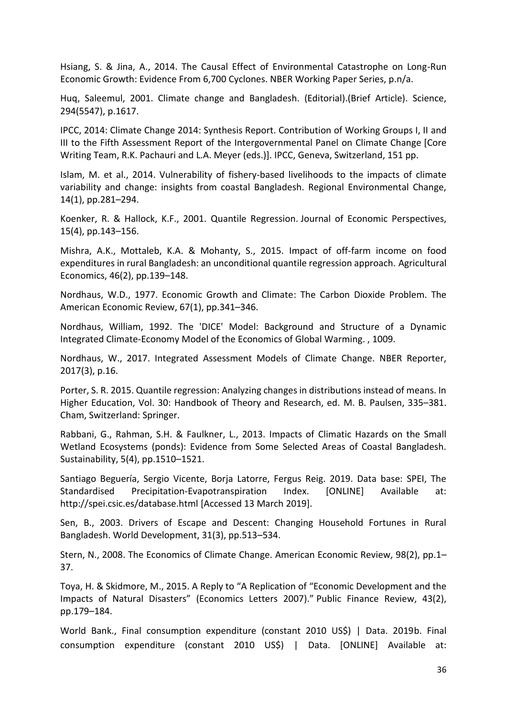Hsiang, S. & Jina, A., 2014. The Causal Effect of Environmental Catastrophe on Long-Run Economic Growth: Evidence From 6,700 Cyclones. NBER Working Paper Series, p.n/a.

Huq, Saleemul, 2001. Climate change and Bangladesh. (Editorial).(Brief Article). Science, 294(5547), p.1617.

IPCC, 2014: Climate Change 2014: Synthesis Report. Contribution of Working Groups I, II and III to the Fifth Assessment Report of the Intergovernmental Panel on Climate Change [Core Writing Team, R.K. Pachauri and L.A. Meyer (eds.)]. IPCC, Geneva, Switzerland, 151 pp.

Islam, M. et al., 2014. Vulnerability of fishery-based livelihoods to the impacts of climate variability and change: insights from coastal Bangladesh. Regional Environmental Change, 14(1), pp.281–294.

Koenker, R. & Hallock, K.F., 2001. Quantile Regression. Journal of Economic Perspectives, 15(4), pp.143–156.

Mishra, A.K., Mottaleb, K.A. & Mohanty, S., 2015. Impact of off‐farm income on food expenditures in rural Bangladesh: an unconditional quantile regression approach. Agricultural Economics, 46(2), pp.139–148.

Nordhaus, W.D., 1977. Economic Growth and Climate: The Carbon Dioxide Problem. The American Economic Review, 67(1), pp.341–346.

Nordhaus, William, 1992. The 'DICE' Model: Background and Structure of a Dynamic Integrated Climate-Economy Model of the Economics of Global Warming. , 1009.

Nordhaus, W., 2017. Integrated Assessment Models of Climate Change. NBER Reporter, 2017(3), p.16.

Porter, S. R. 2015. Quantile regression: Analyzing changes in distributions instead of means. In Higher Education, Vol. 30: Handbook of Theory and Research, ed. M. B. Paulsen, 335–381. Cham, Switzerland: Springer.

Rabbani, G., Rahman, S.H. & Faulkner, L., 2013. Impacts of Climatic Hazards on the Small Wetland Ecosystems (ponds): Evidence from Some Selected Areas of Coastal Bangladesh. Sustainability, 5(4), pp.1510–1521.

Santiago Beguería, Sergio Vicente, Borja Latorre, Fergus Reig. 2019. Data base: SPEI, The Standardised Precipitation-Evapotranspiration Index. [ONLINE] Available at: http://spei.csic.es/database.html [Accessed 13 March 2019].

Sen, B., 2003. Drivers of Escape and Descent: Changing Household Fortunes in Rural Bangladesh. World Development, 31(3), pp.513–534.

Stern, N., 2008. The Economics of Climate Change. American Economic Review, 98(2), pp.1– 37.

Toya, H. & Skidmore, M., 2015. A Reply to "A Replication of "Economic Development and the Impacts of Natural Disasters" (Economics Letters 2007)." Public Finance Review, 43(2), pp.179–184.

World Bank., Final consumption expenditure (constant 2010 US\$) | Data. 2019b. Final consumption expenditure (constant 2010 US\$) | Data. [ONLINE] Available at: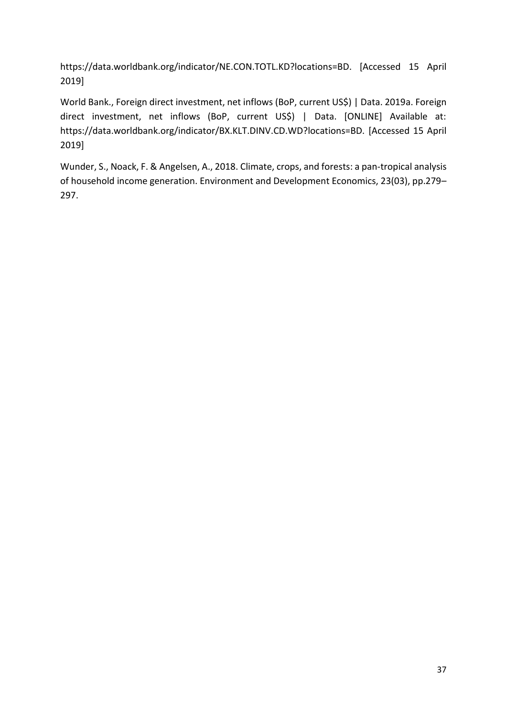https://data.worldbank.org/indicator/NE.CON.TOTL.KD?locations=BD. [Accessed 15 April 2019]

World Bank., Foreign direct investment, net inflows (BoP, current US\$) | Data. 2019a. Foreign direct investment, net inflows (BoP, current US\$) | Data. [ONLINE] Available at: https://data.worldbank.org/indicator/BX.KLT.DINV.CD.WD?locations=BD. [Accessed 15 April 2019]

Wunder, S., Noack, F. & Angelsen, A., 2018. Climate, crops, and forests: a pan-tropical analysis of household income generation. Environment and Development Economics, 23(03), pp.279– 297.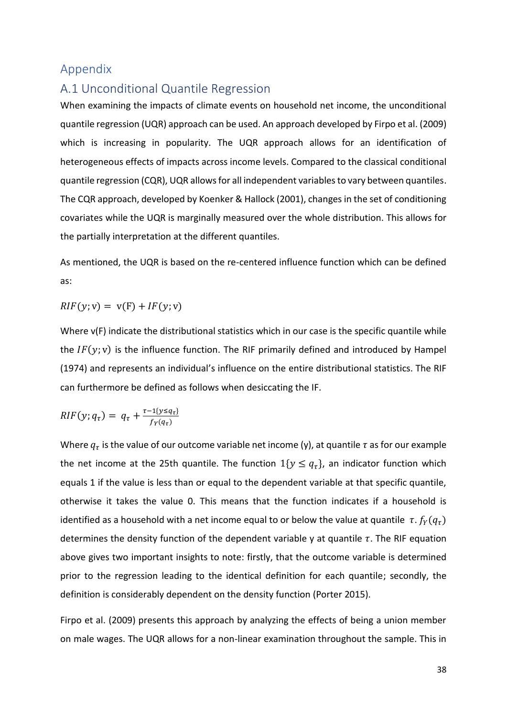## <span id="page-42-0"></span>Appendix

## <span id="page-42-1"></span>A.1 Unconditional Quantile Regression

When examining the impacts of climate events on household net income, the unconditional quantile regression (UQR) approach can be used. An approach developed by Firpo et al. (2009) which is increasing in popularity. The UQR approach allows for an identification of heterogeneous effects of impacts across income levels. Compared to the classical conditional quantile regression (CQR), UQR allows for all independent variables to vary between quantiles. The CQR approach, developed by Koenker & Hallock (2001), changes in the set of conditioning covariates while the UQR is marginally measured over the whole distribution. This allows for the partially interpretation at the different quantiles.

As mentioned, the UQR is based on the re-centered influence function which can be defined as:

$$
RIF(y; v) = v(F) + IF(y; v)
$$

Where v(F) indicate the distributional statistics which in our case is the specific quantile while the  $IF(y; v)$  is the influence function. The RIF primarily defined and introduced by Hampel (1974) and represents an individual's influence on the entire distributional statistics. The RIF can furthermore be defined as follows when desiccating the IF.

$$
RIF(y; q_\tau) = q_\tau + \frac{\tau - 1\{y \le q_\tau\}}{f_Y(q_\tau)}
$$

Where  $q_{\tau}$  is the value of our outcome variable net income (y), at quantile  $\tau$  as for our example the net income at the 25th quantile. The function  $1\{y \leq q_\tau\}$ , an indicator function which equals 1 if the value is less than or equal to the dependent variable at that specific quantile, otherwise it takes the value 0. This means that the function indicates if a household is identified as a household with a net income equal to or below the value at quantile  $\tau$ .  $f_Y(q_\tau)$ determines the density function of the dependent variable y at quantile  $\tau$ . The RIF equation above gives two important insights to note: firstly, that the outcome variable is determined prior to the regression leading to the identical definition for each quantile; secondly, the definition is considerably dependent on the density function (Porter 2015).

Firpo et al. (2009) presents this approach by analyzing the effects of being a union member on male wages. The UQR allows for a non-linear examination throughout the sample. This in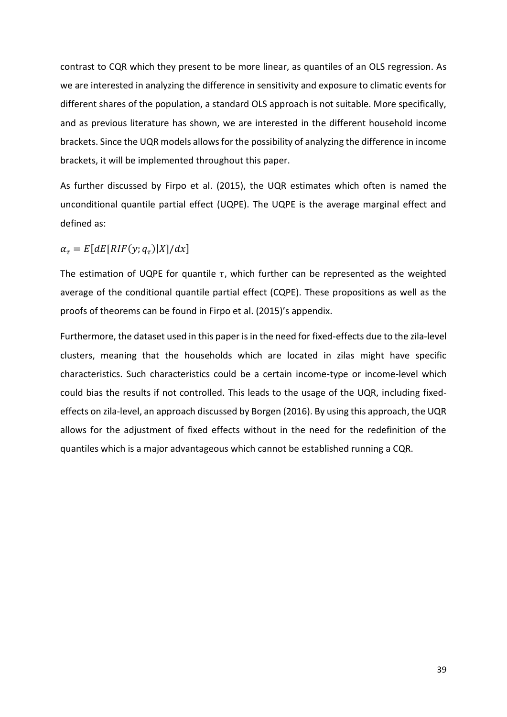contrast to CQR which they present to be more linear, as quantiles of an OLS regression. As we are interested in analyzing the difference in sensitivity and exposure to climatic events for different shares of the population, a standard OLS approach is not suitable. More specifically, and as previous literature has shown, we are interested in the different household income brackets. Since the UQR models allows for the possibility of analyzing the difference in income brackets, it will be implemented throughout this paper.

As further discussed by Firpo et al. (2015), the UQR estimates which often is named the unconditional quantile partial effect (UQPE). The UQPE is the average marginal effect and defined as:

 $\alpha_{\tau} = E[dE[RIF(y; q_{\tau})|X]/dx]$ 

The estimation of UQPE for quantile  $\tau$ , which further can be represented as the weighted average of the conditional quantile partial effect (CQPE). These propositions as well as the proofs of theorems can be found in Firpo et al. (2015)'s appendix.

Furthermore, the dataset used in this paper is in the need for fixed-effects due to the zila-level clusters, meaning that the households which are located in zilas might have specific characteristics. Such characteristics could be a certain income-type or income-level which could bias the results if not controlled. This leads to the usage of the UQR, including fixedeffects on zila-level, an approach discussed by Borgen (2016). By using this approach, the UQR allows for the adjustment of fixed effects without in the need for the redefinition of the quantiles which is a major advantageous which cannot be established running a CQR.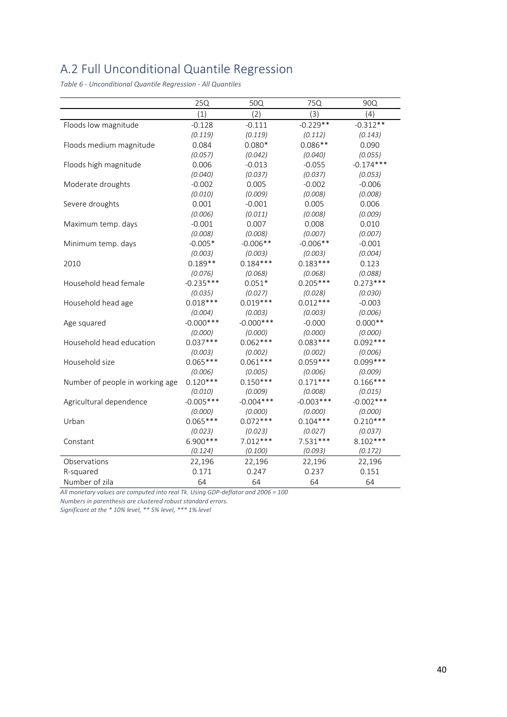## <span id="page-44-0"></span>A.2 Full Unconditional Quantile Regression

<span id="page-44-1"></span>*Table 6 - Unconditional Quantile Regression - All Quantiles*

|                                 | 25Q          | 50Q          | 75Q         | 90Q         |
|---------------------------------|--------------|--------------|-------------|-------------|
|                                 | (1)          | (2)          | (3)         | (4)         |
| Floods low magnitude            | $-0.128$     | $-0.111$     | $-0.229**$  | $-0.312**$  |
|                                 | (0.119)      | (0.119)      | (0.112)     | (0.143)     |
| Floods medium magnitude         | 0.084        | $0.080*$     | $0.086**$   | 0.090       |
|                                 | (0.057)      | (0.042)      | (0.040)     | (0.055)     |
| Floods high magnitude           | 0.006        | $-0.013$     | $-0.055$    | $-0.174***$ |
|                                 | (0.040)      | (0.037)      | (0.037)     | (0.053)     |
| Moderate droughts               | $-0.002$     | 0.005        | $-0.002$    | $-0.006$    |
|                                 | (0.010)      | (0.009)      | (0.008)     | (0.008)     |
| Severe droughts                 | 0.001        | $-0.001$     | 0.005       | 0.006       |
|                                 | (0.006)      | (0.011)      | (0.008)     | (0.009)     |
| Maximum temp. days              | $-0.001$     | 0.007        | 0.008       | 0.010       |
|                                 | (0.008)      | (0.008)      | (0.007)     | (0.007)     |
| Minimum temp. days              | $-0.005*$    | $-0.006**$   | $-0.006**$  | $-0.001$    |
|                                 | (0.003)      | (0.003)      | (0.003)     | (0.004)     |
| 2010                            | $0.189**$    | $0.184***$   | $0.183***$  | 0.123       |
|                                 | (0.076)      | (0.068)      | (0.068)     | (0.088)     |
| Household head female           | $-0.235***$  | $0.051*$     | $0.205***$  | $0.273***$  |
|                                 | (0.035)      | (0.027)      | (0.028)     | (0.030)     |
| Household head age              | $0.018***$   | $0.019***$   | $0.012***$  | $-0.003$    |
|                                 | (0.004)      | (0.003)      | (0.003)     | (0.006)     |
| Age squared                     | $-0.000$ *** | $-0.000$ *** | $-0.000$    | $0.000**$   |
|                                 | (0.000)      | (0.000)      | (0.000)     | (0.000)     |
| Household head education        | $0.037***$   | $0.062***$   | $0.083***$  | $0.092***$  |
|                                 | (0.003)      | (0.002)      | (0.002)     | (0.006)     |
| Household size                  | $0.065***$   | $0.061***$   | $0.059***$  | $0.099***$  |
|                                 | (0.006)      | (0.005)      | (0.006)     | (0.009)     |
| Number of people in working age | $0.120***$   | $0.150***$   | $0.171***$  | $0.166***$  |
|                                 | (0.010)      | (0.009)      | (0.008)     | (0.015)     |
| Agricultural dependence         | $-0.005***$  | $-0.004***$  | $-0.003***$ | $-0.002***$ |
|                                 | (0.000)      | (0.000)      | (0.000)     | (0.000)     |
| Urban                           | $0.065***$   | $0.072***$   | $0.104***$  | $0.210***$  |
|                                 | (0.023)      | (0.023)      | (0.027)     | (0.037)     |
| Constant                        | 6.900***     | $7.012***$   | $7.531***$  | $8.102***$  |
|                                 | (0.124)      | (0.100)      | (0.093)     | (0.172)     |
| Observations                    | 22,196       | 22,196       | 22,196      | 22,196      |
| R-squared                       | 0.171        | 0.247        | 0.237       | 0.151       |
| Number of zila                  | 64           | 64           | 64          | 64          |

*All monetary values are computed into real Tk. Using GDP-deflator and 2006 = 100* 

*Numbers in parenthesis are clustered robust standard errors.*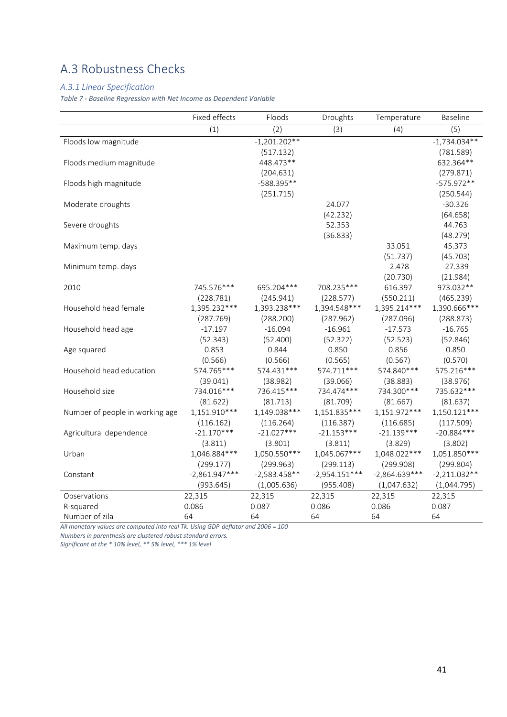## <span id="page-45-0"></span>A.3 Robustness Checks

#### *A.3.1 Linear Specification*

<span id="page-45-1"></span>*Table 7 - Baseline Regression with Net Income as Dependent Variable*

|                                 | Fixed effects   | Floods         | Droughts        | Temperature     | <b>Baseline</b> |
|---------------------------------|-----------------|----------------|-----------------|-----------------|-----------------|
|                                 | (1)             | (2)            | (3)             | (4)             | (5)             |
| Floods low magnitude            |                 | $-1,201.202**$ |                 |                 | $-1,734.034**$  |
|                                 |                 | (517.132)      |                 |                 | (781.589)       |
| Floods medium magnitude         |                 | 448.473**      |                 |                 | 632.364**       |
|                                 |                 | (204.631)      |                 |                 | (279.871)       |
| Floods high magnitude           |                 | -588.395**     |                 |                 | $-575.972**$    |
|                                 |                 | (251.715)      |                 |                 | (250.544)       |
| Moderate droughts               |                 |                | 24.077          |                 | $-30.326$       |
|                                 |                 |                | (42.232)        |                 | (64.658)        |
| Severe droughts                 |                 |                | 52.353          |                 | 44.763          |
|                                 |                 |                | (36.833)        |                 | (48.279)        |
| Maximum temp. days              |                 |                |                 | 33.051          | 45.373          |
|                                 |                 |                |                 | (51.737)        | (45.703)        |
| Minimum temp. days              |                 |                |                 | $-2.478$        | $-27.339$       |
|                                 |                 |                |                 | (20.730)        | (21.984)        |
| 2010                            | 745.576***      | 695.204***     | 708.235***      | 616.397         | 973.032**       |
|                                 | (228.781)       | (245.941)      | (228.577)       | (550.211)       | (465.239)       |
| Household head female           | 1,395.232***    | 1,393.238***   | 1,394.548***    | 1,395.214***    | 1,390.666***    |
|                                 | (287.769)       | (288.200)      | (287.962)       | (287.096)       | (288.873)       |
| Household head age              | $-17.197$       | $-16.094$      | $-16.961$       | $-17.573$       | $-16.765$       |
|                                 | (52.343)        | (52.400)       | (52.322)        | (52.523)        | (52.846)        |
| Age squared                     | 0.853           | 0.844          | 0.850           | 0.856           | 0.850           |
|                                 | (0.566)         | (0.566)        | (0.565)         | (0.567)         | (0.570)         |
| Household head education        | 574.765***      | 574.431***     | 574.711***      | 574.840***      | 575.216***      |
|                                 | (39.041)        | (38.982)       | (39.066)        | (38.883)        | (38.976)        |
| Household size                  | 734.016***      | 736.415***     | 734.474***      | 734.300 ***     | 735.632 ***     |
|                                 | (81.622)        | (81.713)       | (81.709)        | (81.667)        | (81.637)        |
| Number of people in working age | 1,151.910 ***   | 1,149.038***   | 1,151.835***    | 1,151.972***    | 1,150.121***    |
|                                 | (116.162)       | (116.264)      | (116.387)       | (116.685)       | (117.509)       |
| Agricultural dependence         | $-21.170***$    | $-21.027***$   | $-21.153***$    | $-21.139***$    | $-20.884***$    |
|                                 | (3.811)         | (3.801)        | (3.811)         | (3.829)         | (3.802)         |
| Urban                           | 1,046.884***    | 1,050.550***   | 1,045.067***    | 1,048.022***    | 1,051.850***    |
|                                 | (299.177)       | (299.963)      | (299.113)       | (299.908)       | (299.804)       |
| Constant                        | $-2,861.947***$ | $-2,583.458**$ | $-2,954.151***$ | $-2,864.639***$ | $-2,211.032**$  |
|                                 | (993.645)       | (1,005.636)    | (955.408)       | (1,047.632)     | (1,044.795)     |
| Observations                    | 22,315          | 22,315         | 22,315          | 22,315          | 22,315          |
| R-squared                       | 0.086           | 0.087          | 0.086           | 0.086           | 0.087           |
| Number of zila                  | 64              | 64             | 64              | 64              | 64              |

*All monetary values are computed into real Tk. Using GDP-deflator and 2006 = 100* 

*Numbers in parenthesis are clustered robust standard errors.*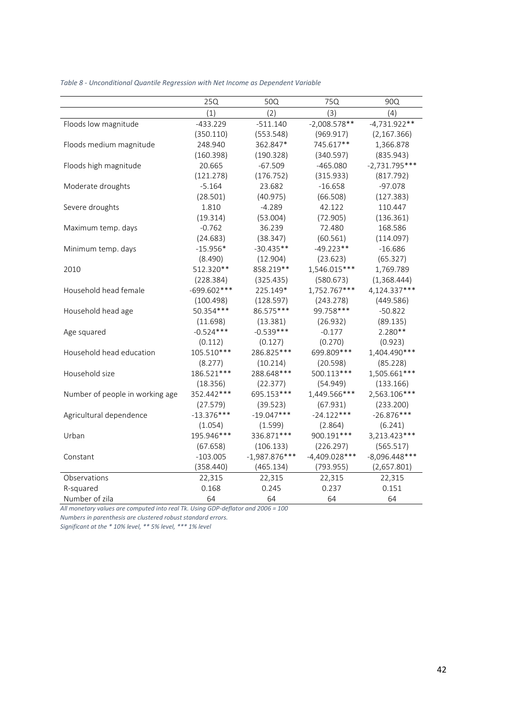|                                 | 25Q           | 50Q             | 75Q             | 90Q             |
|---------------------------------|---------------|-----------------|-----------------|-----------------|
|                                 | (1)           | (2)             | (3)             | (4)             |
| Floods low magnitude            | $-433.229$    | $-511.140$      | $-2,008.578**$  | $-4,731.922**$  |
|                                 | (350.110)     | (553.548)       | (969.917)       | (2, 167.366)    |
| Floods medium magnitude         | 248.940       | 362.847*        | 745.617**       | 1,366.878       |
|                                 | (160.398)     | (190.328)       | (340.597)       | (835.943)       |
| Floods high magnitude           | 20.665        | $-67.509$       | $-465.080$      | $-2,731.795***$ |
|                                 | (121.278)     | (176.752)       | (315.933)       | (817.792)       |
| Moderate droughts               | $-5.164$      | 23.682          | $-16.658$       | $-97.078$       |
|                                 | (28.501)      | (40.975)        | (66.508)        | (127.383)       |
| Severe droughts                 | 1.810         | $-4.289$        | 42.122          | 110.447         |
|                                 | (19.314)      | (53.004)        | (72.905)        | (136.361)       |
| Maximum temp. days              | $-0.762$      | 36.239          | 72.480          | 168.586         |
|                                 | (24.683)      | (38.347)        | (60.561)        | (114.097)       |
| Minimum temp. days              | $-15.956*$    | $-30.435**$     | $-49.223**$     | $-16.686$       |
|                                 | (8.490)       | (12.904)        | (23.623)        | (65.327)        |
| 2010                            | 512.320**     | 858.219 **      | 1,546.015***    | 1,769.789       |
|                                 | (228.384)     | (325.435)       | (580.673)       | (1,368.444)     |
| Household head female           | $-699.602***$ | 225.149*        | 1,752.767***    | 4,124.337***    |
|                                 | (100.498)     | (128.597)       | (243.278)       | (449.586)       |
| Household head age              | 50.354 ***    | 86.575***       | 99.758***       | $-50.822$       |
|                                 | (11.698)      | (13.381)        | (26.932)        | (89.135)        |
| Age squared                     | $-0.524***$   | $-0.539***$     | $-0.177$        | 2.280**         |
|                                 | (0.112)       | (0.127)         | (0.270)         | (0.923)         |
| Household head education        | 105.510***    | 286.825***      | 699.809 ***     | 1,404.490***    |
|                                 | (8.277)       | (10.214)        | (20.598)        | (85.228)        |
| Household size                  | 186.521***    | 288.648***      | 500.113***      | 1,505.661***    |
|                                 | (18.356)      | (22.377)        | (54.949)        | (133.166)       |
| Number of people in working age | 352.442***    | 695.153***      | 1,449.566***    | 2,563.106***    |
|                                 | (27.579)      | (39.523)        | (67.931)        | (233.200)       |
| Agricultural dependence         | $-13.376***$  | $-19.047***$    | $-24.122***$    | $-26.876***$    |
|                                 | (1.054)       | (1.599)         | (2.864)         | (6.241)         |
| Urban                           | 195.946***    | 336.871 ***     | 900.191***      | 3,213.423***    |
|                                 | (67.658)      | (106.133)       | (226.297)       | (565.517)       |
| Constant                        | $-103.005$    | $-1,987.876***$ | $-4,409.028***$ | $-8,096.448***$ |
|                                 | (358.440)     | (465.134)       | (793.955)       | (2,657.801)     |
| Observations                    | 22,315        | 22,315          | 22,315          | 22,315          |
| R-squared                       | 0.168         | 0.245           | 0.237           | 0.151           |
| Number of zila                  | 64            | 64              | 64              | 64              |

<span id="page-46-0"></span>*Table 8 - Unconditional Quantile Regression with Net Income as Dependent Variable*

*All monetary values are computed into real Tk. Using GDP-deflator and 2006 = 100* 

*Numbers in parenthesis are clustered robust standard errors.*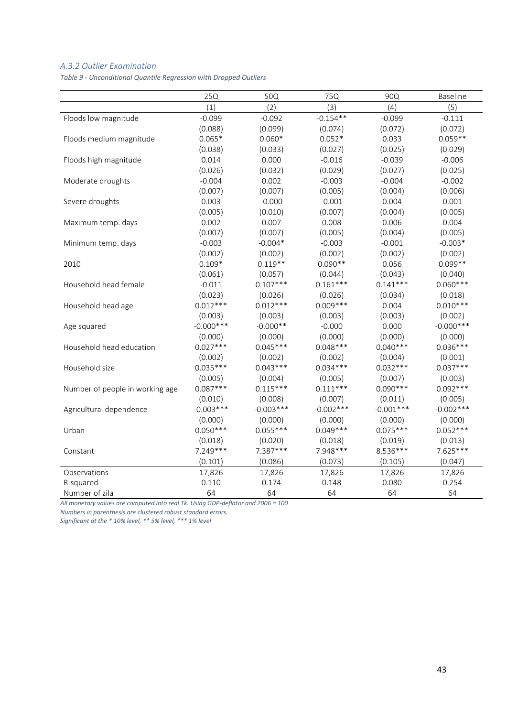#### *A.3.2 Outlier Examination*

<span id="page-47-0"></span>*Table 9 - Unconditional Quantile Regression with Dropped Outliers*

|                                 | 25Q          | 50Q         | 75Q         | 90Q         | Baseline     |
|---------------------------------|--------------|-------------|-------------|-------------|--------------|
|                                 | (1)          | (2)         | (3)         | (4)         | (5)          |
| Floods low magnitude            | $-0.099$     | $-0.092$    | $-0.154**$  | $-0.099$    | $-0.111$     |
|                                 | (0.088)      | (0.099)     | (0.074)     | (0.072)     | (0.072)      |
| Floods medium magnitude         | $0.065*$     | $0.060*$    | $0.052*$    | 0.033       | $0.059**$    |
|                                 | (0.038)      | (0.033)     | (0.027)     | (0.025)     | (0.029)      |
| Floods high magnitude           | 0.014        | 0.000       | $-0.016$    | $-0.039$    | $-0.006$     |
|                                 | (0.026)      | (0.032)     | (0.029)     | (0.027)     | (0.025)      |
| Moderate droughts               | $-0.004$     | 0.002       | $-0.003$    | $-0.004$    | $-0.002$     |
|                                 | (0.007)      | (0.007)     | (0.005)     | (0.004)     | (0.006)      |
| Severe droughts                 | 0.003        | $-0.000$    | $-0.001$    | 0.004       | 0.001        |
|                                 | (0.005)      | (0.010)     | (0.007)     | (0.004)     | (0.005)      |
| Maximum temp. days              | 0.002        | 0.007       | 0.008       | 0.006       | 0.004        |
|                                 | (0.007)      | (0.007)     | (0.005)     | (0.004)     | (0.005)      |
| Minimum temp. days              | $-0.003$     | $-0.004*$   | $-0.003$    | $-0.001$    | $-0.003*$    |
|                                 | (0.002)      | (0.002)     | (0.002)     | (0.002)     | (0.002)      |
| 2010                            | $0.109*$     | $0.119**$   | $0.090**$   | 0.056       | $0.099**$    |
|                                 | (0.061)      | (0.057)     | (0.044)     | (0.043)     | (0.040)      |
| Household head female           | $-0.011$     | $0.107***$  | $0.161***$  | $0.141***$  | $0.060***$   |
|                                 | (0.023)      | (0.026)     | (0.026)     | (0.034)     | (0.018)      |
| Household head age              | $0.012***$   | $0.012***$  | $0.009***$  | 0.004       | $0.010***$   |
|                                 | (0.003)      | (0.003)     | (0.003)     | (0.003)     | (0.002)      |
| Age squared                     | $-0.000$ *** | $-0.000**$  | $-0.000$    | 0.000       | $-0.000$ *** |
|                                 | (0.000)      | (0.000)     | (0.000)     | (0.000)     | (0.000)      |
| Household head education        | $0.027***$   | $0.045***$  | $0.048***$  | $0.040***$  | $0.036***$   |
|                                 | (0.002)      | (0.002)     | (0.002)     | (0.004)     | (0.001)      |
| Household size                  | $0.035***$   | $0.043***$  | $0.034***$  | $0.032***$  | $0.037***$   |
|                                 | (0.005)      | (0.004)     | (0.005)     | (0.007)     | (0.003)      |
| Number of people in working age | $0.087***$   | $0.115***$  | $0.111***$  | $0.090***$  | $0.092***$   |
|                                 | (0.010)      | (0.008)     | (0.007)     | (0.011)     | (0.005)      |
| Agricultural dependence         | $-0.003***$  | $-0.003***$ | $-0.002***$ | $-0.001***$ | $-0.002***$  |
|                                 | (0.000)      | (0.000)     | (0.000)     | (0.000)     | (0.000)      |
| Urban                           | $0.050***$   | $0.055***$  | $0.049***$  | $0.075***$  | $0.052***$   |
|                                 | (0.018)      | (0.020)     | (0.018)     | (0.019)     | (0.013)      |
| Constant                        | $7.249***$   | $7.387***$  | 7.948***    | 8.536 ***   | $7.625***$   |
|                                 | (0.101)      | (0.086)     | (0.073)     | (0.105)     | (0.047)      |
| Observations                    | 17,826       | 17,826      | 17,826      | 17,826      | 17,826       |
| R-squared                       | 0.110        | 0.174       | 0.148       | 0.080       | 0.254        |
| Number of zila                  | 64           | 64          | 64          | 64          | 64           |

*All monetary values are computed into real Tk. Using GDP-deflator and 2006 = 100* 

*Numbers in parenthesis are clustered robust standard errors.*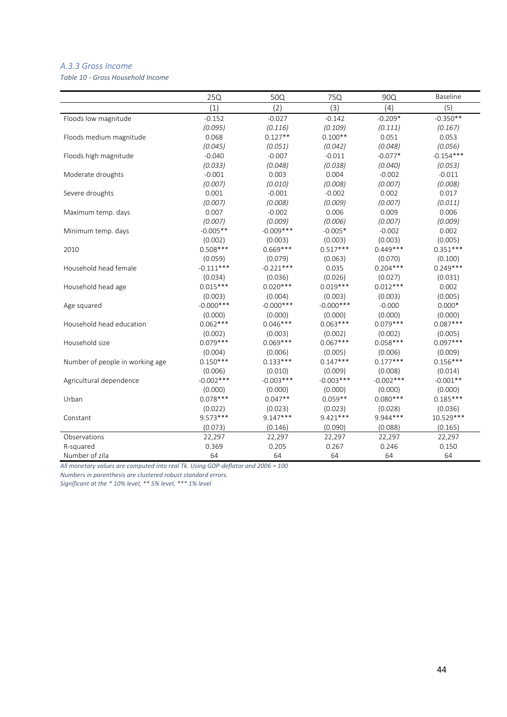#### *A.3.3 Gross Income*

<span id="page-48-0"></span>*Table 10 - Gross Household Income*

|                                 | 25Q          | 50Q          | 75Q          | <b>90Q</b>  | <b>Baseline</b> |
|---------------------------------|--------------|--------------|--------------|-------------|-----------------|
|                                 | (1)          | (2)          | (3)          | (4)         | (5)             |
| Floods low magnitude            | $-0.152$     | $-0.027$     | $-0.142$     | $-0.209*$   | $-0.350**$      |
|                                 | (0.095)      | (0.116)      | (0.109)      | (0.111)     | (0.167)         |
| Floods medium magnitude         | 0.068        | $0.127**$    | $0.100**$    | 0.051       | 0.053           |
|                                 | (0.045)      | (0.051)      | (0.042)      | (0.048)     | (0.056)         |
| Floods high magnitude           | $-0.040$     | $-0.007$     | $-0.011$     | $-0.077*$   | $-0.154***$     |
|                                 | (0.033)      | (0.048)      | (0.038)      | (0.040)     | (0.053)         |
| Moderate droughts               | $-0.001$     | 0.003        | 0.004        | $-0.002$    | $-0.011$        |
|                                 | (0.007)      | (0.010)      | (0.008)      | (0.007)     | (0.008)         |
| Severe droughts                 | 0.001        | $-0.001$     | $-0.002$     | 0.002       | 0.017           |
|                                 | (0.007)      | (0.008)      | (0.009)      | (0.007)     | (0.011)         |
| Maximum temp. days              | 0.007        | $-0.002$     | 0.006        | 0.009       | 0.006           |
|                                 | (0.007)      | (0.009)      | (0.006)      | (0.007)     | (0.009)         |
| Minimum temp. days              | $-0.005**$   | $-0.009***$  | $-0.005*$    | $-0.002$    | 0.002           |
|                                 | (0.002)      | (0.003)      | (0.003)      | (0.003)     | (0.005)         |
| 2010                            | $0.508***$   | $0.669***$   | $0.517***$   | $0.449***$  | $0.351***$      |
|                                 | (0.059)      | (0.079)      | (0.063)      | (0.070)     | (0.100)         |
| Household head female           | $-0.111***$  | $-0.221***$  | 0.035        | $0.204***$  | $0.249***$      |
|                                 | (0.034)      | (0.036)      | (0.026)      | (0.027)     | (0.031)         |
| Household head age              | $0.015***$   | $0.020***$   | $0.019***$   | $0.012***$  | 0.002           |
|                                 | (0.003)      | (0.004)      | (0.003)      | (0.003)     | (0.005)         |
| Age squared                     | $-0.000$ *** | $-0.000$ *** | $-0.000$ *** | $-0.000$    | $0.000*$        |
|                                 | (0.000)      | (0.000)      | (0.000)      | (0.000)     | (0.000)         |
| Household head education        | $0.062***$   | $0.046***$   | $0.063***$   | $0.079***$  | $0.087***$      |
|                                 | (0.002)      | (0.003)      | (0.002)      | (0.002)     | (0.005)         |
| Household size                  | $0.079***$   | $0.069***$   | $0.067***$   | $0.058***$  | $0.097***$      |
|                                 | (0.004)      | (0.006)      | (0.005)      | (0.006)     | (0.009)         |
| Number of people in working age | $0.150***$   | $0.133***$   | $0.147***$   | $0.177***$  | $0.156***$      |
|                                 | (0.006)      | (0.010)      | (0.009)      | (0.008)     | (0.014)         |
| Agricultural dependence         | $-0.002***$  | $-0.003***$  | $-0.003***$  | $-0.002***$ | $-0.001**$      |
|                                 | (0.000)      | (0.000)      | (0.000)      | (0.000)     | (0.000)         |
| Urban                           | $0.078***$   | $0.047**$    | $0.059**$    | $0.080***$  | $0.185***$      |
|                                 | (0.022)      | (0.023)      | (0.023)      | (0.028)     | (0.036)         |
| Constant                        | $9.573***$   | $9.147***$   | $9.421***$   | 9.944***    | 10.529***       |
|                                 | (0.073)      | (0.146)      | (0.090)      | (0.088)     | (0.165)         |
| Observations                    | 22,297       | 22,297       | 22,297       | 22,297      | 22,297          |
| R-squared                       | 0.369        | 0.205        | 0.267        | 0.246       | 0.150           |
| Number of zila                  | 64           | 64           | 64           | 64          | 64              |

*All monetary values are computed into real Tk. Using GDP-deflator and 2006 = 100* 

*Numbers in parenthesis are clustered robust standard errors.*